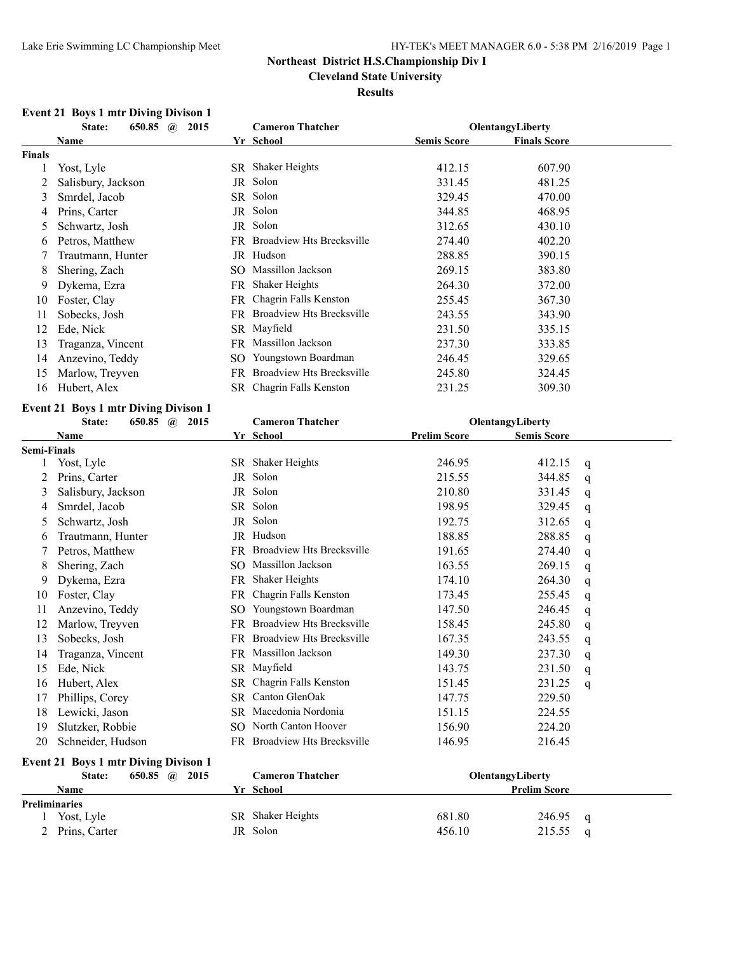**Cleveland State University**

### **Results**

# **Event 21 Boys 1 mtr Diving Divison 1**

|               | State:<br>650.85 $\omega$<br>2015 | <b>Cameron Thatcher</b>     |                                  | <b>OlentangyLiberty</b> |                     |  |
|---------------|-----------------------------------|-----------------------------|----------------------------------|-------------------------|---------------------|--|
|               | Name                              | Yr School                   |                                  | <b>Semis Score</b>      | <b>Finals Score</b> |  |
| <b>Finals</b> |                                   |                             |                                  |                         |                     |  |
|               | Yost, Lyle                        | SR Shaker Heights           |                                  | 412.15                  | 607.90              |  |
|               | Salisbury, Jackson                | Solon<br>JR                 |                                  | 331.45                  | 481.25              |  |
| 3             | Smrdel, Jacob                     | SR Solon                    |                                  | 329.45                  | 470.00              |  |
| 4             | Prins, Carter                     | Solon<br>JR                 |                                  | 344.85                  | 468.95              |  |
| 5             | Schwartz, Josh                    | Solon<br>JR                 |                                  | 312.65                  | 430.10              |  |
| 6             | Petros, Matthew                   | FR                          | Broadview Hts Brecksville        | 274.40                  | 402.20              |  |
|               | Trautmann, Hunter                 | Hudson<br>JR.               |                                  | 288.85                  | 390.15              |  |
| 8             | Shering, Zach                     | SO.                         | Massillon Jackson                | 269.15                  | 383.80              |  |
| 9             | Dykema, Ezra                      | <b>Shaker Heights</b><br>FR |                                  | 264.30                  | 372.00              |  |
| 10            | Foster, Clay                      | FR.                         | Chagrin Falls Kenston            | 255.45                  | 367.30              |  |
| 11            | Sobecks, Josh                     | FR                          | <b>Broadview Hts Brecksville</b> | 243.55                  | 343.90              |  |
| 12            | Ede, Nick                         | SR Mayfield                 |                                  | 231.50                  | 335.15              |  |
| 13            | Traganza, Vincent                 | FR                          | Massillon Jackson                | 237.30                  | 333.85              |  |
| 14            | Anzevino, Teddy                   | SO.                         | Youngstown Boardman              | 246.45                  | 329.65              |  |
| 15            | Marlow, Treyven                   | FR                          | Broadview Hts Brecksville        | 245.80                  | 324.45              |  |
| 16            | Hubert, Alex                      |                             | SR Chagrin Falls Kenston         | 231.25                  | 309.30              |  |

### **Event 21 Boys 1 mtr Diving Divison 1**

|                    | State:<br>650.85 $\omega$<br>2015           | <b>Cameron Thatcher</b>          | OlentangyLiberty                          |             |
|--------------------|---------------------------------------------|----------------------------------|-------------------------------------------|-------------|
|                    | Name                                        | Yr School                        | <b>Prelim Score</b><br><b>Semis Score</b> |             |
| <b>Semi-Finals</b> |                                             |                                  |                                           |             |
|                    | Yost, Lyle                                  | SR Shaker Heights                | 246.95<br>412.15                          | q           |
|                    | Prins, Carter                               | Solon<br>JR                      | 215.55<br>344.85                          | q           |
| 3                  | Salisbury, Jackson                          | JR Solon                         | 210.80<br>331.45                          | $\mathbf q$ |
| 4                  | Smrdel, Jacob                               | SR Solon                         | 198.95<br>329.45                          | q           |
| 5                  | Schwartz, Josh                              | JR Solon                         | 192.75<br>312.65                          | $\mathbf q$ |
| 6                  | Trautmann, Hunter                           | JR Hudson                        | 188.85<br>288.85                          | q           |
|                    | Petros, Matthew                             | Broadview Hts Brecksville<br>FR. | 191.65<br>274.40                          | q           |
| 8                  | Shering, Zach                               | Massillon Jackson<br>SO.         | 269.15<br>163.55                          | q           |
| 9                  | Dykema, Ezra                                | FR Shaker Heights                | 174.10<br>264.30                          | q           |
| 10                 | Foster, Clay                                | Chagrin Falls Kenston<br>FR      | 173.45<br>255.45                          | q           |
| 11                 | Anzevino, Teddy                             | Youngstown Boardman<br>SO.       | 147.50<br>246.45                          | q           |
| 12                 | Marlow, Treyven                             | FR Broadview Hts Brecksville     | 158.45<br>245.80                          | q           |
| 13                 | Sobecks, Josh                               | FR Broadview Hts Brecksville     | 167.35<br>243.55                          | $\mathbf q$ |
| 14                 | Traganza, Vincent                           | FR Massillon Jackson             | 149.30<br>237.30                          | q           |
| 15                 | Ede, Nick                                   | SR Mayfield                      | 231.50<br>143.75                          | q           |
| 16                 | Hubert, Alex                                | Chagrin Falls Kenston<br>SR.     | 231.25<br>151.45                          | q           |
| 17                 | Phillips, Corey                             | Canton GlenOak<br>SR.            | 147.75<br>229.50                          |             |
| 18                 | Lewicki, Jason                              | SR Macedonia Nordonia            | 151.15<br>224.55                          |             |
| 19                 | Slutzker, Robbie                            | SO North Canton Hoover           | 156.90<br>224.20                          |             |
| 20                 | Schneider, Hudson                           | FR Broadview Hts Brecksville     | 146.95<br>216.45                          |             |
|                    | <b>Event 21 Boys 1 mtr Diving Divison 1</b> |                                  |                                           |             |
|                    | 650.85 $\omega$<br>State:<br>2015           | <b>Cameron Thatcher</b>          | OlentangyLiberty                          |             |
|                    | <b>Name</b>                                 | Yr School                        | <b>Prelim Score</b>                       |             |
|                    | <b>Preliminaries</b>                        |                                  |                                           |             |
|                    | Yost, Lyle                                  | SR Shaker Heights                | 681.80<br>246.95                          | q           |
| 2                  | Prins, Carter                               | JR Solon                         | 456.10<br>215.55                          | q           |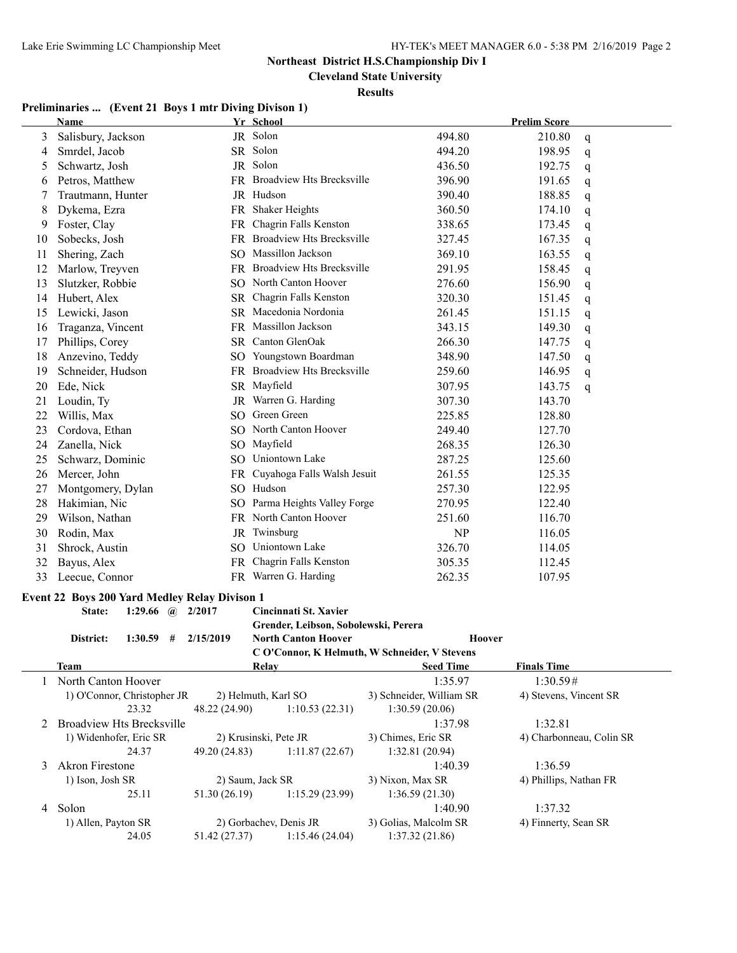**Cleveland State University**

**Results**

# **Preliminaries ... (Event 21 Boys 1 mtr Diving Divison 1)**

|    | <b>Name</b>                                          |               | Yr School                            |                                               | <b>Prelim Score</b>      |
|----|------------------------------------------------------|---------------|--------------------------------------|-----------------------------------------------|--------------------------|
| 3  | Salisbury, Jackson                                   |               | JR Solon                             | 494.80                                        | 210.80<br>q              |
| 4  | Smrdel, Jacob                                        |               | SR Solon                             | 494.20                                        | 198.95<br>q              |
| 5  | Schwartz, Josh                                       |               | JR Solon                             | 436.50                                        | 192.75<br>q              |
| 6  | Petros, Matthew                                      |               | FR Broadview Hts Brecksville         | 396.90                                        | 191.65<br>q              |
| 7  | Trautmann, Hunter                                    |               | JR Hudson                            | 390.40                                        | 188.85<br>q              |
| 8  | Dykema, Ezra                                         |               | FR Shaker Heights                    | 360.50                                        | 174.10<br>q              |
| 9  | Foster, Clay                                         |               | FR Chagrin Falls Kenston             | 338.65                                        | 173.45<br>q              |
| 10 | Sobecks, Josh                                        |               | FR Broadview Hts Brecksville         | 327.45                                        | 167.35<br>q              |
| 11 | Shering, Zach                                        |               | SO Massillon Jackson                 | 369.10                                        | 163.55<br>q              |
| 12 | Marlow, Treyven                                      |               | FR Broadview Hts Brecksville         | 291.95                                        | 158.45<br>q              |
| 13 | Slutzker, Robbie                                     |               | SO North Canton Hoover               | 276.60                                        | 156.90<br>q              |
| 14 | Hubert, Alex                                         |               | SR Chagrin Falls Kenston             | 320.30                                        | 151.45<br>q              |
| 15 | Lewicki, Jason                                       |               | SR Macedonia Nordonia                | 261.45                                        | 151.15<br>q              |
| 16 | Traganza, Vincent                                    |               | FR Massillon Jackson                 | 343.15                                        | 149.30<br>q              |
| 17 | Phillips, Corey                                      |               | SR Canton GlenOak                    | 266.30                                        | 147.75<br>q              |
| 18 | Anzevino, Teddy                                      |               | SO Youngstown Boardman               | 348.90                                        | 147.50<br>q              |
| 19 | Schneider, Hudson                                    |               | FR Broadview Hts Brecksville         | 259.60                                        | 146.95<br>q              |
| 20 | Ede, Nick                                            |               | SR Mayfield                          | 307.95                                        | 143.75<br>q              |
| 21 | Loudin, Ty                                           |               | JR Warren G. Harding                 | 307.30                                        | 143.70                   |
| 22 | Willis, Max                                          |               | SO Green Green                       | 225.85                                        | 128.80                   |
| 23 | Cordova, Ethan                                       |               | SO North Canton Hoover               | 249.40                                        | 127.70                   |
| 24 | Zanella, Nick                                        |               | SO Mayfield                          | 268.35                                        | 126.30                   |
| 25 | Schwarz, Dominic                                     |               | SO Uniontown Lake                    | 287.25                                        | 125.60                   |
|    |                                                      |               | FR Cuyahoga Falls Walsh Jesuit       |                                               |                          |
| 26 | Mercer, John                                         |               | SO Hudson                            | 261.55                                        | 125.35                   |
| 27 | Montgomery, Dylan                                    |               |                                      | 257.30                                        | 122.95                   |
| 28 | Hakimian, Nic                                        |               | SO Parma Heights Valley Forge        | 270.95                                        | 122.40                   |
| 29 | Wilson, Nathan                                       |               | FR North Canton Hoover               | 251.60                                        | 116.70                   |
| 30 | Rodin, Max                                           |               | JR Twinsburg                         | NP                                            | 116.05                   |
| 31 | Shrock, Austin                                       |               | SO Uniontown Lake                    | 326.70                                        | 114.05                   |
| 32 | Bayus, Alex                                          |               | FR Chagrin Falls Kenston             | 305.35                                        | 112.45                   |
| 33 | Leecue, Connor                                       |               | FR Warren G. Harding                 | 262.35                                        | 107.95                   |
|    | <b>Event 22 Boys 200 Yard Medley Relay Divison 1</b> |               |                                      |                                               |                          |
|    | 1:29.66 $\omega$ 2/2017<br>State:                    |               | Cincinnati St. Xavier                |                                               |                          |
|    |                                                      |               | Grender, Leibson, Sobolewski, Perera |                                               |                          |
|    | District:<br>1:30.59<br>#                            | 2/15/2019     | <b>North Canton Hoover</b>           | <b>Hoover</b>                                 |                          |
|    |                                                      |               |                                      | C O'Connor, K Helmuth, W Schneider, V Stevens |                          |
|    | <b>Team</b>                                          |               | <b>Relay</b>                         | <b>Seed Time</b>                              | <b>Finals Time</b>       |
|    | North Canton Hoover                                  |               |                                      | 1:35.97                                       | 1:30.59#                 |
|    | 1) O'Connor, Christopher JR                          |               | 2) Helmuth, Karl SO                  | 3) Schneider, William SR                      | 4) Stevens, Vincent SR   |
|    | 23.32                                                | 48.22 (24.90) | 1:10.53(22.31)                       | 1:30.59(20.06)                                |                          |
| 2  | <b>Broadview Hts Brecksville</b>                     |               |                                      | 1:37.98                                       | 1:32.81                  |
|    | 1) Widenhofer, Eric SR                               |               | 2) Krusinski, Pete JR                | 3) Chimes, Eric SR                            | 4) Charbonneau, Colin SR |
|    | 24.37                                                | 49.20 (24.83) | 1:11.87(22.67)                       | 1:32.81 (20.94)                               |                          |
| 3  | Akron Firestone                                      |               |                                      | 1:40.39                                       | 1:36.59                  |
|    | 1) Ison, Josh SR                                     |               | 2) Saum, Jack SR                     | 3) Nixon, Max SR                              | 4) Phillips, Nathan FR   |
|    | 25.11                                                | 51.30 (26.19) | 1:15.29(23.99)                       | 1:36.59(21.30)                                |                          |
| 4  | Solon                                                |               |                                      | 1:40.90                                       | 1:37.32                  |
|    | 1) Allen, Payton SR                                  |               | 2) Gorbachev, Denis JR               | 3) Golias, Malcolm SR                         | 4) Finnerty, Sean SR     |
|    | 24.05                                                | 51.42 (27.37) | 1:15.46(24.04)                       | 1:37.32(21.86)                                |                          |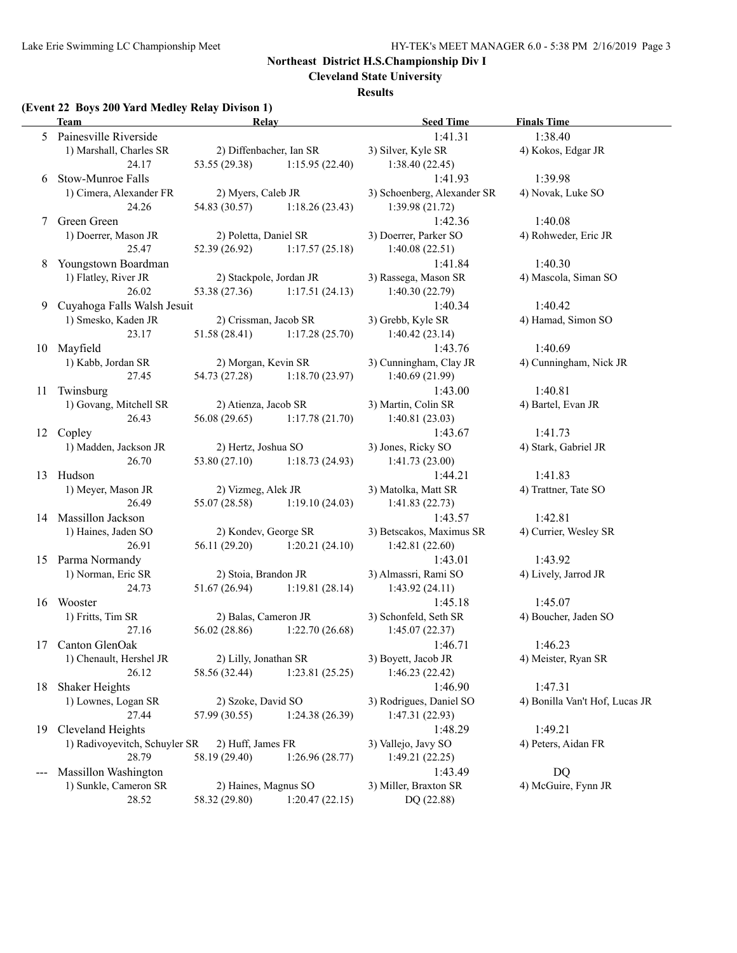$\overline{\phantom{a}}$ 

# **Northeast District H.S.Championship Div I**

**Cleveland State University**

### **Results**

### **(Event 22 Boys 200 Yard Medley Relay Divison 1)**

|       | Team                           | <b>Relay</b>                         |                                 | <b>Seed Time</b>                     | <b>Finals Time</b>             |
|-------|--------------------------------|--------------------------------------|---------------------------------|--------------------------------------|--------------------------------|
|       | 5 Painesville Riverside        |                                      |                                 | 1:41.31                              | 1:38.40                        |
|       | 1) Marshall, Charles SR        | 2) Diffenbacher, Ian SR              |                                 | 3) Silver, Kyle SR                   | 4) Kokos, Edgar JR             |
|       | 24.17                          |                                      | 53.55 (29.38) 1:15.95 (22.40)   | 1:38.40(22.45)                       |                                |
| 6     | Stow-Munroe Falls              |                                      |                                 | 1:41.93                              | 1:39.98                        |
|       | 1) Cimera, Alexander FR        | 2) Myers, Caleb JR                   |                                 | 3) Schoenberg, Alexander SR          | 4) Novak, Luke SO              |
|       | 24.26                          | 54.83 (30.57)                        | 1:18.26(23.43)                  | 1:39.98(21.72)                       |                                |
|       | Green Green                    |                                      |                                 | 1:42.36                              | 1:40.08                        |
|       | 1) Doerrer, Mason JR           | 2) Poletta, Daniel SR                |                                 | 3) Doerrer, Parker SO                | 4) Rohweder, Eric JR           |
|       | 25.47                          |                                      | $52.39(26.92)$ $1:17.57(25.18)$ | 1:40.08(22.51)                       |                                |
| 8     | Youngstown Boardman            |                                      |                                 | 1:41.84                              | 1:40.30                        |
|       | 1) Flatley, River JR           | 2) Stackpole, Jordan JR              |                                 | 3) Rassega, Mason SR                 | 4) Mascola, Siman SO           |
|       | 26.02                          |                                      | 53.38 (27.36) 1:17.51 (24.13)   | 1:40.30(22.79)                       |                                |
| 9     | Cuyahoga Falls Walsh Jesuit    |                                      |                                 | 1:40.34                              | 1:40.42                        |
|       | 1) Smesko, Kaden JR            | 2) Crissman, Jacob SR                |                                 | 3) Grebb, Kyle SR                    | 4) Hamad, Simon SO             |
|       | 23.17                          |                                      | $51.58(28.41)$ $1:17.28(25.70)$ | 1:40.42(23.14)                       |                                |
|       | 10 Mayfield                    |                                      |                                 | 1:43.76                              | 1:40.69                        |
|       | 1) Kabb, Jordan SR             | 2) Morgan, Kevin SR                  |                                 | 3) Cunningham, Clay JR               | 4) Cunningham, Nick JR         |
|       | 27.45                          | 54.73 (27.28)                        | 1:18.70(23.97)                  | 1:40.69(21.99)                       |                                |
| 11    | Twinsburg                      |                                      |                                 | 1:43.00                              | 1:40.81                        |
|       | 1) Govang, Mitchell SR         | 2) Atienza, Jacob SR                 |                                 | 3) Martin, Colin SR                  | 4) Bartel, Evan JR             |
|       | 26.43                          | 56.08(29.65)                         | 1:17.78(21.70)                  | 1:40.81(23.03)                       |                                |
|       | 12 Copley                      |                                      |                                 | 1:43.67                              | 1:41.73                        |
|       | 1) Madden, Jackson JR<br>26.70 | 2) Hertz, Joshua SO<br>53.80 (27.10) | 1:18.73(24.93)                  | 3) Jones, Ricky SO<br>1:41.73(23.00) | 4) Stark, Gabriel JR           |
|       | 13 Hudson                      |                                      |                                 | 1:44.21                              | 1:41.83                        |
|       | 1) Meyer, Mason JR             | 2) Vizmeg, Alek JR                   |                                 | 3) Matolka, Matt SR                  | 4) Trattner, Tate SO           |
|       | 26.49                          | 55.07 (28.58)                        | 1:19.10(24.03)                  | 1:41.83(22.73)                       |                                |
|       | 14 Massillon Jackson           |                                      |                                 | 1:43.57                              | 1:42.81                        |
|       | 1) Haines, Jaden SO            |                                      | 2) Kondev, George SR            | 3) Betscakos, Maximus SR             | 4) Currier, Wesley SR          |
|       | 26.91                          |                                      | 56.11 (29.20) 1:20.21 (24.10)   | 1:42.81(22.60)                       |                                |
|       | 15 Parma Normandy              |                                      |                                 | 1:43.01                              | 1:43.92                        |
|       | 1) Norman, Eric SR             | 2) Stoia, Brandon JR                 |                                 | 3) Almassri, Rami SO                 | 4) Lively, Jarrod JR           |
|       | 24.73                          |                                      | $51.67(26.94)$ 1:19.81 (28.14)  | 1:43.92(24.11)                       |                                |
|       | 16 Wooster                     |                                      |                                 | 1:45.18                              | 1:45.07                        |
|       | 1) Fritts, Tim SR              | 2) Balas, Cameron JR                 |                                 | 3) Schonfeld, Seth SR                | 4) Boucher, Jaden SO           |
|       | 27.16                          | 56.02 (28.86)                        | 1:22.70(26.68)                  | 1:45.07(22.37)                       |                                |
|       | 17 Canton GlenOak              |                                      |                                 | 1:46.71                              | 1:46.23                        |
|       | 1) Chenault, Hershel JR        | 2) Lilly, Jonathan SR                |                                 | 3) Boyett, Jacob JR                  | 4) Meister, Ryan SR            |
|       | 26.12                          | 58.56 (32.44)                        | 1:23.81(25.25)                  | 1:46.23(22.42)                       |                                |
| 18    | Shaker Heights                 |                                      |                                 | 1:46.90                              | 1:47.31                        |
|       | 1) Lownes, Logan SR            | 2) Szoke, David SO                   |                                 | 3) Rodrigues, Daniel SO              | 4) Bonilla Van't Hof, Lucas JR |
|       | 27.44                          | 57.99 (30.55)                        | 1:24.38(26.39)                  | 1:47.31(22.93)                       |                                |
| 19    | Cleveland Heights              |                                      |                                 | 1:48.29                              | 1:49.21                        |
|       | 1) Radivoyevitch, Schuyler SR  | 2) Huff, James FR                    |                                 | 3) Vallejo, Javy SO                  | 4) Peters, Aidan FR            |
|       | 28.79                          | 58.19 (29.40)                        | 1:26.96(28.77)                  | 1:49.21(22.25)                       |                                |
| $---$ | Massillon Washington           |                                      |                                 | 1:43.49                              | DQ                             |
|       | 1) Sunkle, Cameron SR          | 2) Haines, Magnus SO                 |                                 | 3) Miller, Braxton SR                | 4) McGuire, Fynn JR            |
|       | 28.52                          | 58.32 (29.80)                        | 1:20.47(22.15)                  | DQ (22.88)                           |                                |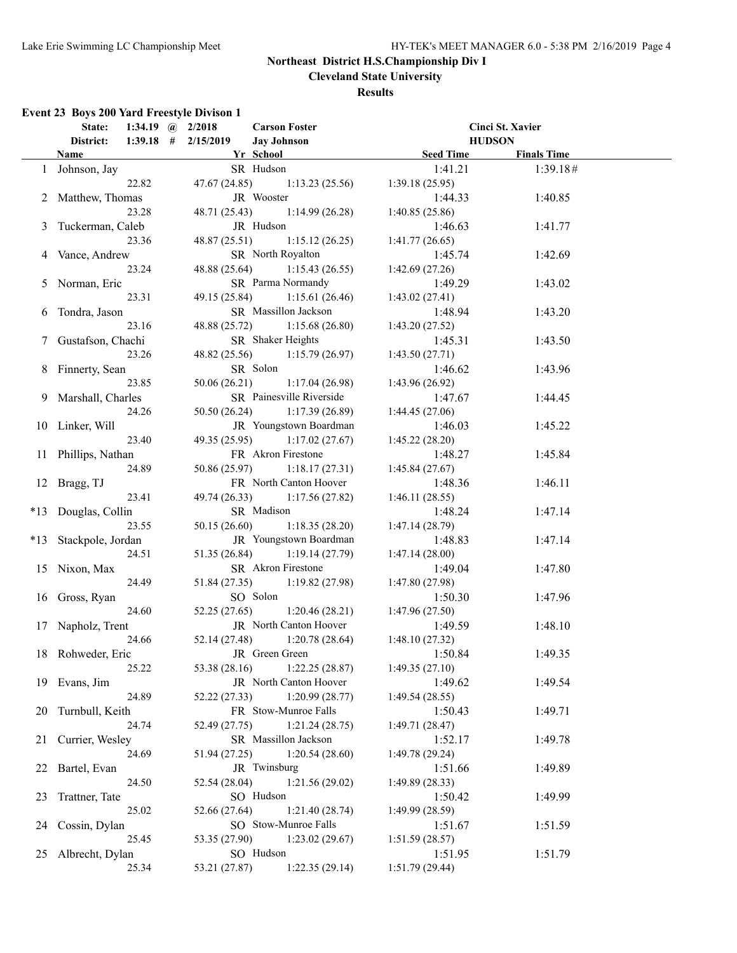**Cleveland State University**

### **Results**

# **Event 23 Boys 200 Yard Freestyle Divison 1**

|    | State:                |             | 1:34.19 $\omega$ 2/2018 | <b>Carson Foster</b>          |                 | Cinci St. Xavier   |  |
|----|-----------------------|-------------|-------------------------|-------------------------------|-----------------|--------------------|--|
|    | District:             | $1:39.18$ # | 2/15/2019               | <b>Jay Johnson</b>            |                 | <b>HUDSON</b>      |  |
|    | <b>Name</b>           |             |                         | Yr School                     | Seed Time       | <b>Finals Time</b> |  |
|    | 1 Johnson, Jay        |             |                         | SR Hudson                     | 1:41.21         | 1:39.18#           |  |
|    |                       | 22.82       | 47.67(24.85)            | 1:13.23(25.56)                | 1:39.18(25.95)  |                    |  |
|    | 2 Matthew, Thomas     |             |                         | JR Wooster                    | 1:44.33         | 1:40.85            |  |
|    |                       | 23.28       | 48.71 (25.43)           | 1:14.99(26.28)                | 1:40.85(25.86)  |                    |  |
| 3  | Tuckerman, Caleb      |             |                         | JR Hudson                     | 1:46.63         | 1:41.77            |  |
|    |                       | 23.36       | 48.87(25.51)            | 1:15.12(26.25)                | 1:41.77(26.65)  |                    |  |
|    | 4 Vance, Andrew       |             |                         | SR North Royalton             | 1:45.74         | 1:42.69            |  |
|    |                       | 23.24       |                         | 48.88 (25.64) 1:15.43 (26.55) | 1:42.69(27.26)  |                    |  |
|    | 5 Norman, Eric        |             |                         | SR Parma Normandy             | 1:49.29         | 1:43.02            |  |
|    |                       | 23.31       |                         | 49.15 (25.84) 1:15.61 (26.46) | 1:43.02(27.41)  |                    |  |
|    |                       |             |                         | SR Massillon Jackson          |                 |                    |  |
| 6  | Tondra, Jason         |             |                         |                               | 1:48.94         | 1:43.20            |  |
|    |                       | 23.16       |                         | 48.88 (25.72) 1:15.68 (26.80) | 1:43.20(27.52)  |                    |  |
|    | 7 Gustafson, Chachi   |             |                         | SR Shaker Heights             | 1:45.31         | 1:43.50            |  |
|    |                       | 23.26       |                         | 48.82 (25.56) 1:15.79 (26.97) | 1:43.50(27.71)  |                    |  |
|    | 8 Finnerty, Sean      |             |                         | SR Solon                      | 1:46.62         | 1:43.96            |  |
|    |                       | 23.85       | 50.06 (26.21)           | 1:17.04(26.98)                | 1:43.96(26.92)  |                    |  |
|    | 9 Marshall, Charles   |             |                         | SR Painesville Riverside      | 1:47.67         | 1:44.45            |  |
|    |                       | 24.26       | 50.50 (26.24)           | 1:17.39(26.89)                | 1:44.45(27.06)  |                    |  |
|    | 10 Linker, Will       |             |                         | JR Youngstown Boardman        | 1:46.03         | 1:45.22            |  |
|    |                       | 23.40       |                         | 49.35 (25.95) 1:17.02 (27.67) | 1:45.22(28.20)  |                    |  |
|    | 11 Phillips, Nathan   |             |                         | FR Akron Firestone            | 1:48.27         | 1:45.84            |  |
|    |                       | 24.89       |                         | 50.86 (25.97) 1:18.17 (27.31) | 1:45.84(27.67)  |                    |  |
|    | 12 Bragg, TJ          |             |                         | FR North Canton Hoover        | 1:48.36         | 1:46.11            |  |
|    |                       | 23.41       | 49.74 (26.33)           | 1:17.56(27.82)                | 1:46.11(28.55)  |                    |  |
|    | *13 Douglas, Collin   |             |                         | SR Madison                    | 1:48.24         | 1:47.14            |  |
|    |                       | 23.55       | 50.15(26.60)            | 1:18.35(28.20)                | 1:47.14(28.79)  |                    |  |
|    | *13 Stackpole, Jordan |             |                         | JR Youngstown Boardman        | 1:48.83         | 1:47.14            |  |
|    |                       | 24.51       |                         | 51.35 (26.84) 1:19.14 (27.79) | 1:47.14(28.00)  |                    |  |
|    | 15 Nixon, Max         |             |                         | SR Akron Firestone            | 1:49.04         | 1:47.80            |  |
|    |                       | 24.49       |                         | 51.84 (27.35) 1:19.82 (27.98) | 1:47.80(27.98)  |                    |  |
|    | 16 Gross, Ryan        |             |                         | SO Solon                      | 1:50.30         | 1:47.96            |  |
|    |                       | 24.60       | 52.25(27.65)            | 1:20.46(28.21)                | 1:47.96(27.50)  |                    |  |
|    | 17 Napholz, Trent     |             |                         | JR North Canton Hoover        | 1:49.59         | 1:48.10            |  |
|    |                       | 24.66       | 52.14 (27.48)           | 1:20.78(28.64)                | 1:48.10(27.32)  |                    |  |
|    | 18 Rohweder, Eric     |             |                         | JR Green Green                | 1:50.84         | 1:49.35            |  |
|    |                       | 25.22       | 53.38 (28.16)           | 1:22.25(28.87)                | 1:49.35(27.10)  |                    |  |
|    | 19 Evans, Jim         |             |                         | JR North Canton Hoover        | 1:49.62         | 1:49.54            |  |
|    |                       | 24.89       | 52.22 (27.33)           | 1:20.99(28.77)                | 1:49.54(28.55)  |                    |  |
| 20 | Turnbull, Keith       |             |                         | FR Stow-Munroe Falls          | 1:50.43         | 1:49.71            |  |
|    |                       | 24.74       | 52.49 (27.75)           | 1:21.24(28.75)                | 1:49.71(28.47)  |                    |  |
| 21 | Currier, Wesley       |             |                         | SR Massillon Jackson          | 1:52.17         | 1:49.78            |  |
|    |                       | 24.69       | 51.94 (27.25)           | 1:20.54(28.60)                | 1:49.78 (29.24) |                    |  |
| 22 | Bartel, Evan          |             |                         | JR Twinsburg                  | 1:51.66         | 1:49.89            |  |
|    |                       | 24.50       | 52.54 (28.04)           | 1:21.56(29.02)                | 1:49.89(28.33)  |                    |  |
| 23 | Trattner, Tate        |             |                         | SO Hudson                     | 1:50.42         | 1:49.99            |  |
|    |                       | 25.02       | 52.66 (27.64)           | 1:21.40(28.74)                | 1:49.99 (28.59) |                    |  |
| 24 | Cossin, Dylan         |             |                         | SO Stow-Munroe Falls          | 1:51.67         | 1:51.59            |  |
|    |                       | 25.45       | 53.35 (27.90)           | 1:23.02(29.67)                | 1:51.59(28.57)  |                    |  |
|    |                       |             |                         | SO Hudson                     |                 |                    |  |
| 25 | Albrecht, Dylan       |             |                         |                               | 1:51.95         | 1:51.79            |  |
|    |                       | 25.34       | 53.21 (27.87)           | 1:22.35(29.14)                | 1:51.79(29.44)  |                    |  |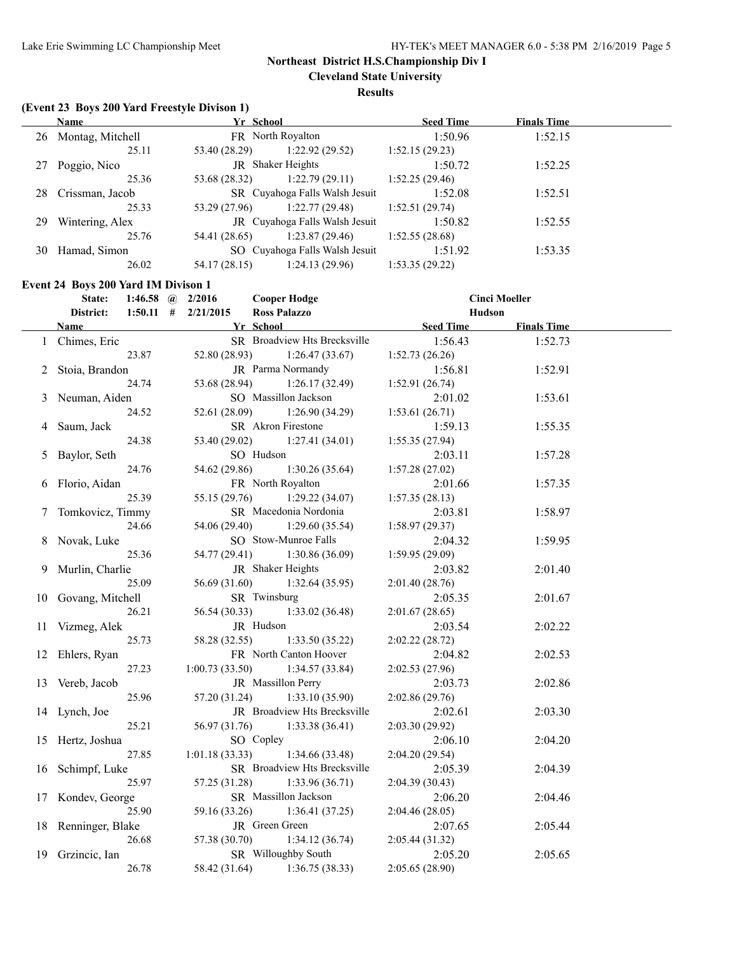**Cleveland State University**

**Results**

# **(Event 23 Boys 200 Yard Freestyle Divison 1)**

|    | Name                | Yr School     |                                | <b>Seed Time</b> | <b>Finals Time</b> |  |
|----|---------------------|---------------|--------------------------------|------------------|--------------------|--|
|    | 26 Montag, Mitchell |               | FR North Royalton              | 1:50.96          | 1:52.15            |  |
|    | 25.11               | 53.40 (28.29) | 1:22.92(29.52)                 | 1:52.15(29.23)   |                    |  |
| 27 | Poggio, Nico        |               | <b>JR</b> Shaker Heights       | 1:50.72          | 1:52.25            |  |
|    | 25.36               | 53.68 (28.32) | 1:22.79(29.11)                 | 1:52.25(29.46)   |                    |  |
|    | 28 Crissman, Jacob  |               | SR Cuyahoga Falls Walsh Jesuit | 1:52.08          | 1:52.51            |  |
|    | 25.33               | 53.29 (27.96) | 1:22.77(29.48)                 | 1:52.51(29.74)   |                    |  |
| 29 | Wintering, Alex     |               | JR Cuyahoga Falls Walsh Jesuit | 1:50.82          | 1:52.55            |  |
|    | 25.76               | 54.41 (28.65) | 1:23.87(29.46)                 | 1:52.55(28.68)   |                    |  |
|    | 30 Hamad, Simon     |               | SO Cuyahoga Falls Walsh Jesuit | 1:51.92          | 1:53.35            |  |
|    | 26.02               | 54.17 (28.15) | 1:24.13(29.96)                 | 1:53.35(29.22)   |                    |  |

### **Event 24 Boys 200 Yard IM Divison 1**

|    | State:              | 1:46.58 @ $2/2016$ |                | <b>Cooper Hodge</b>                 |                  | <b>Cinci Moeller</b> |  |
|----|---------------------|--------------------|----------------|-------------------------------------|------------------|----------------------|--|
|    | District:           | $1:50.11$ #        | 2/21/2015      | <b>Ross Palazzo</b>                 |                  | Hudson               |  |
|    | <b>Name</b>         |                    |                | Yr School                           | <b>Seed Time</b> | <b>Finals Time</b>   |  |
|    | 1 Chimes, Eric      |                    |                | <b>SR</b> Broadview Hts Brecksville | 1:56.43          | 1:52.73              |  |
|    |                     | 23.87              | 52.80 (28.93)  | 1:26.47(33.67)                      | 1:52.73(26.26)   |                      |  |
| 2  | Stoia, Brandon      |                    |                | JR Parma Normandy                   | 1:56.81          | 1:52.91              |  |
|    |                     | 24.74              | 53.68 (28.94)  | 1:26.17(32.49)                      | 1:52.91 (26.74)  |                      |  |
| 3  | Neuman, Aiden       |                    |                | SO Massillon Jackson                | 2:01.02          | 1:53.61              |  |
|    |                     | 24.52              | 52.61 (28.09)  | 1:26.90(34.29)                      | 1:53.61(26.71)   |                      |  |
| 4  | Saum, Jack          |                    |                | SR Akron Firestone                  | 1:59.13          | 1:55.35              |  |
|    |                     | 24.38              | 53.40 (29.02)  | 1:27.41(34.01)                      | 1:55.35(27.94)   |                      |  |
| 5  | Baylor, Seth        |                    |                | SO Hudson                           | 2:03.11          | 1:57.28              |  |
|    |                     | 24.76              | 54.62 (29.86)  | 1:30.26(35.64)                      | 1:57.28(27.02)   |                      |  |
|    | 6 Florio, Aidan     |                    |                | FR North Royalton                   | 2:01.66          | 1:57.35              |  |
|    |                     | 25.39              | 55.15 (29.76)  | 1:29.22(34.07)                      | 1:57.35(28.13)   |                      |  |
|    | 7 Tomkovicz, Timmy  |                    |                | SR Macedonia Nordonia               | 2:03.81          | 1:58.97              |  |
|    |                     | 24.66              | 54.06 (29.40)  | 1:29.60(35.54)                      | 1:58.97(29.37)   |                      |  |
|    | 8 Novak, Luke       |                    |                | SO Stow-Munroe Falls                | 2:04.32          | 1:59.95              |  |
|    |                     | 25.36              | 54.77 (29.41)  | 1:30.86(36.09)                      | 1:59.95 (29.09)  |                      |  |
|    | Murlin, Charlie     |                    |                | JR Shaker Heights                   | 2:03.82          | 2:01.40              |  |
|    |                     | 25.09              | 56.69 (31.60)  | 1:32.64(35.95)                      | 2:01.40(28.76)   |                      |  |
|    | 10 Govang, Mitchell |                    |                | SR Twinsburg                        | 2:05.35          | 2:01.67              |  |
|    |                     | 26.21              | 56.54 (30.33)  | 1:33.02(36.48)                      | 2:01.67(28.65)   |                      |  |
|    | 11 Vizmeg, Alek     |                    |                | JR Hudson                           | 2:03.54          | 2:02.22              |  |
|    |                     | 25.73              | 58.28 (32.55)  | 1:33.50(35.22)                      | 2:02.22 (28.72)  |                      |  |
|    | 12 Ehlers, Ryan     |                    |                | FR North Canton Hoover              | 2:04.82          | 2:02.53              |  |
|    |                     | 27.23              | 1:00.73(33.50) | 1:34.57(33.84)                      | 2:02.53 (27.96)  |                      |  |
|    | 13 Vereb, Jacob     |                    |                | JR Massillon Perry                  | 2:03.73          | 2:02.86              |  |
|    |                     | 25.96              | 57.20 (31.24)  | 1:33.10(35.90)                      | 2:02.86(29.76)   |                      |  |
|    | 14 Lynch, Joe       |                    |                | JR Broadview Hts Brecksville        | 2:02.61          | 2:03.30              |  |
|    |                     | 25.21              | 56.97 (31.76)  | 1:33.38(36.41)                      | 2:03.30 (29.92)  |                      |  |
|    | 15 Hertz, Joshua    |                    |                | SO Copley                           | 2:06.10          | 2:04.20              |  |
|    |                     | 27.85              | 1:01.18(33.33) | 1:34.66(33.48)                      | 2:04.20(29.54)   |                      |  |
| 16 | Schimpf, Luke       |                    |                | SR Broadview Hts Brecksville        | 2:05.39          | 2:04.39              |  |
|    |                     | 25.97              | 57.25 (31.28)  | 1:33.96(36.71)                      | 2:04.39(30.43)   |                      |  |
|    | 17 Kondev, George   |                    |                | SR Massillon Jackson                | 2:06.20          | 2:04.46              |  |
|    |                     | 25.90              | 59.16 (33.26)  | 1:36.41(37.25)                      | 2:04.46 (28.05)  |                      |  |
|    | 18 Renninger, Blake |                    |                | JR Green Green                      | 2:07.65          | 2:05.44              |  |
|    |                     | 26.68              | 57.38 (30.70)  | 1:34.12(36.74)                      | 2:05.44(31.32)   |                      |  |
|    | 19 Grzincic, Ian    |                    |                | SR Willoughby South                 | 2:05.20          | 2:05.65              |  |
|    |                     | 26.78              | 58.42 (31.64)  | 1:36.75(38.33)                      | 2:05.65 (28.90)  |                      |  |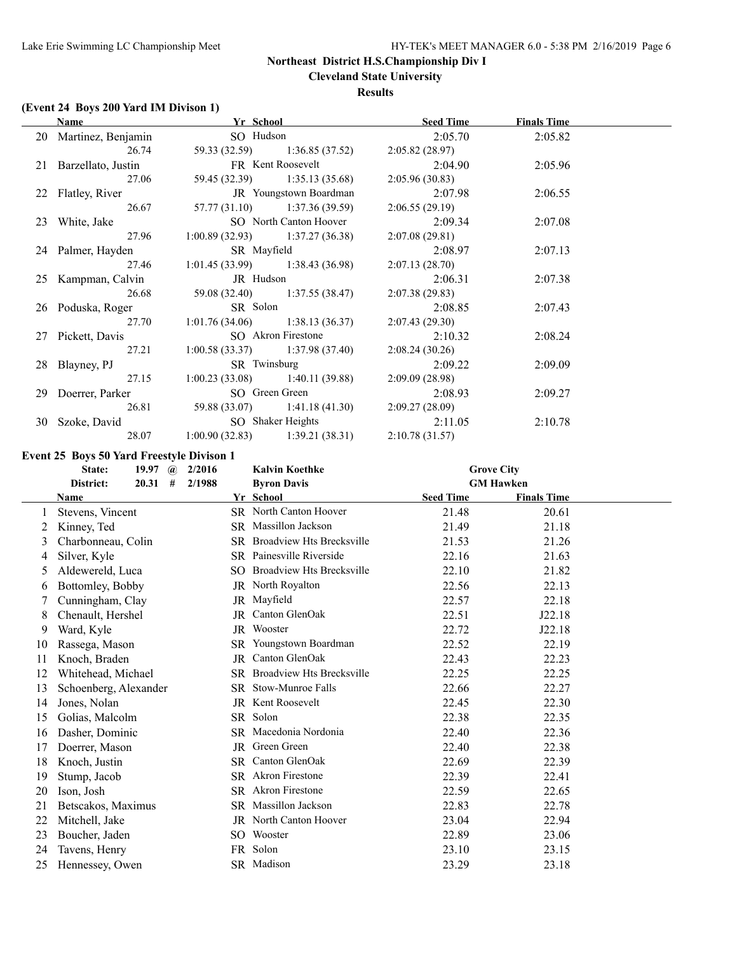**Cleveland State University**

### **Results**

# **(Event 24 Boys 200 Yard IM Divison 1)**

| <b>Name</b>                                     | Yr School                           |                                                    | <b>Seed Time</b> | <b>Finals Time</b> |  |
|-------------------------------------------------|-------------------------------------|----------------------------------------------------|------------------|--------------------|--|
| 20 Martinez, Benjamin                           | SO Hudson                           |                                                    | 2:05.70          | 2:05.82            |  |
| 26.74                                           |                                     | 59.33 (32.59) 1:36.85 (37.52)                      | 2:05.82 (28.97)  |                    |  |
| 21 Barzellato, Justin FR Kent Roosevelt 2:04.90 |                                     |                                                    |                  | 2:05.96            |  |
| 27.06                                           |                                     | 59.45 (32.39) 1:35.13 (35.68)                      | 2:05.96(30.83)   |                    |  |
| 22 Flatley, River                               |                                     | JR Youngstown Boardman                             | 2:07.98          | 2:06.55            |  |
| 26.67                                           |                                     | $57.77(31.10)$ $1:37.36(39.59)$ $2:06.55(29.19)$   |                  |                    |  |
| 23 White, Jake                                  |                                     | SO North Canton Hoover                             | 2:09.34          | 2:07.08            |  |
| 27.96                                           |                                     | $1:00.89(32.93)$ $1:37.27(36.38)$                  | 2:07.08(29.81)   |                    |  |
| 24 Palmer, Hayden                               | SR Mayfield                         |                                                    | 2:08.97          | 2:07.13            |  |
| 27.46                                           |                                     | $1:01.45(33.99)$ $1:38.43(36.98)$                  | 2:07.13(28.70)   |                    |  |
| 25 Kampman, Calvin JR Hudson                    |                                     |                                                    | 2:06.31          | 2:07.38            |  |
| 26.68                                           |                                     | 59.08 (32.40) 1:37.55 (38.47)                      | 2:07.38(29.83)   |                    |  |
| 26 Poduska, Roger                               |                                     | SR Solon                                           | 2:08.85          | 2:07.43            |  |
| 27.70                                           |                                     | $1:01.76(34.06)$ $1:38.13(36.37)$ $2:07.43(29.30)$ |                  |                    |  |
| 27 Pickett, Davis                               |                                     | SO Akron Firestone                                 | 2:10.32          | 2:08.24            |  |
| 27.21                                           |                                     | $1:00.58(33.37)$ $1:37.98(37.40)$                  | 2:08.24(30.26)   |                    |  |
| 28 Blayney, PJ                                  |                                     | SR Twinsburg                                       | 2:09.22          | 2:09.09            |  |
| 27.15                                           |                                     | $1:00.23(33.08)$ $1:40.11(39.88)$                  | 2:09.09 (28.98)  |                    |  |
| 29 Doerrer, Parker SO Green Green 2:08.93       |                                     |                                                    |                  | 2:09.27            |  |
|                                                 | 26.81 59.88 (33.07) 1:41.18 (41.30) |                                                    | 2:09.27 (28.09)  |                    |  |
| 30 Szoke, David SO Shaker Heights 2:11.05       |                                     |                                                    |                  | 2:10.78            |  |
| 28.07                                           |                                     | $1:00.90(32.83)$ $1:39.21(38.31)$                  | 2:10.78(31.57)   |                    |  |

**Event 25 Boys 50 Yard Freestyle Divison 1**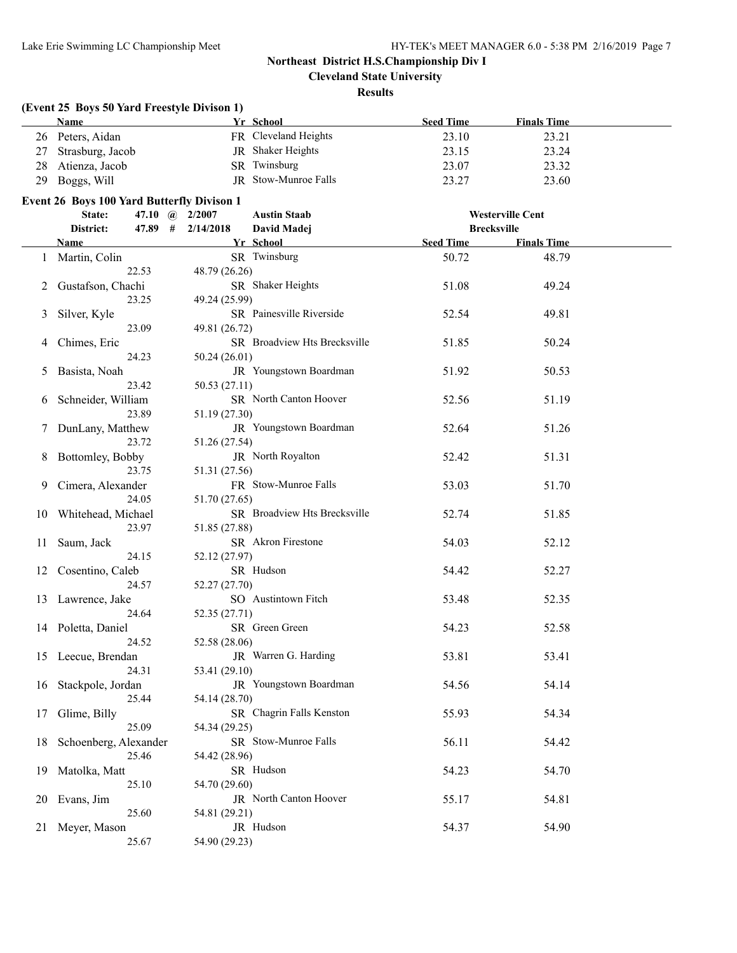**Cleveland State University**

### **Results**

|               | (Event 25 Boys 50 Yard Freestyle Divison 1)       |               |                              |                  |                         |  |
|---------------|---------------------------------------------------|---------------|------------------------------|------------------|-------------------------|--|
|               | <b>Name</b>                                       |               | Yr School                    | <b>Seed Time</b> | <b>Finals Time</b>      |  |
| 26            | Peters, Aidan                                     |               | FR Cleveland Heights         | 23.10            | 23.21                   |  |
| 27            | Strasburg, Jacob                                  |               | JR Shaker Heights            | 23.15            | 23.24                   |  |
| 28            | Atienza, Jacob                                    |               | SR Twinsburg                 | 23.07            | 23.32                   |  |
| 29            | Boggs, Will                                       |               | JR Stow-Munroe Falls         | 23.27            | 23.60                   |  |
|               |                                                   |               |                              |                  |                         |  |
|               | <b>Event 26 Boys 100 Yard Butterfly Divison 1</b> |               |                              |                  |                         |  |
|               | State:<br>47.10 $\omega$                          | 2/2007        | <b>Austin Staab</b>          |                  | <b>Westerville Cent</b> |  |
|               | $47.89$ #<br>District:<br>Name                    | 2/14/2018     | David Madej                  |                  | <b>Brecksville</b>      |  |
|               |                                                   |               | Yr School                    | <b>Seed Time</b> | <b>Finals Time</b>      |  |
| 1             | Martin, Colin                                     |               | SR Twinsburg                 | 50.72            | 48.79                   |  |
|               | 22.53                                             | 48.79 (26.26) |                              |                  |                         |  |
|               | Gustafson, Chachi                                 |               | SR Shaker Heights            | 51.08            | 49.24                   |  |
|               | 23.25                                             | 49.24 (25.99) |                              |                  |                         |  |
| 3             | Silver, Kyle                                      |               | SR Painesville Riverside     | 52.54            | 49.81                   |  |
|               | 23.09                                             | 49.81 (26.72) |                              |                  |                         |  |
| 4             | Chimes, Eric                                      |               | SR Broadview Hts Brecksville | 51.85            | 50.24                   |  |
|               | 24.23                                             | 50.24(26.01)  |                              |                  |                         |  |
| $\mathcal{L}$ | Basista, Noah                                     |               | JR Youngstown Boardman       | 51.92            | 50.53                   |  |
|               | 23.42                                             | 50.53 (27.11) |                              |                  |                         |  |
| 6             | Schneider, William                                |               | SR North Canton Hoover       | 52.56            | 51.19                   |  |
|               | 23.89                                             | 51.19 (27.30) |                              |                  |                         |  |
| $\mathcal{L}$ | DunLany, Matthew<br>23.72                         |               | JR Youngstown Boardman       | 52.64            | 51.26                   |  |
|               |                                                   | 51.26 (27.54) | JR North Royalton            |                  |                         |  |
| 8             | Bottomley, Bobby<br>23.75                         |               |                              | 52.42            | 51.31                   |  |
|               |                                                   | 51.31 (27.56) | FR Stow-Munroe Falls         |                  |                         |  |
| 9.            | Cimera, Alexander<br>24.05                        | 51.70 (27.65) |                              | 53.03            | 51.70                   |  |
|               |                                                   |               | SR Broadview Hts Brecksville | 52.74            | 51.85                   |  |
| 10            | Whitehead, Michael<br>23.97                       | 51.85 (27.88) |                              |                  |                         |  |
| 11            | Saum, Jack                                        |               | SR Akron Firestone           | 54.03            | 52.12                   |  |
|               | 24.15                                             | 52.12 (27.97) |                              |                  |                         |  |
| 12            | Cosentino, Caleb                                  |               | SR Hudson                    | 54.42            | 52.27                   |  |
|               | 24.57                                             | 52.27 (27.70) |                              |                  |                         |  |
| 13            | Lawrence, Jake                                    |               | SO Austintown Fitch          | 53.48            | 52.35                   |  |
|               | 24.64                                             | 52.35 (27.71) |                              |                  |                         |  |
|               | 14 Poletta, Daniel                                |               | SR Green Green               | 54.23            | 52.58                   |  |
|               | 24.52                                             | 52.58 (28.06) |                              |                  |                         |  |
|               | 15 Leecue, Brendan                                |               | JR Warren G. Harding         | 53.81            | 53.41                   |  |
|               | 24.31                                             | 53.41 (29.10) |                              |                  |                         |  |
| 16            | Stackpole, Jordan                                 |               | JR Youngstown Boardman       | 54.56            | 54.14                   |  |
|               | 25.44                                             | 54.14 (28.70) |                              |                  |                         |  |
| 17            | Glime, Billy                                      |               | SR Chagrin Falls Kenston     | 55.93            | 54.34                   |  |
|               | 25.09                                             | 54.34 (29.25) |                              |                  |                         |  |
| 18            | Schoenberg, Alexander                             |               | SR Stow-Munroe Falls         | 56.11            | 54.42                   |  |
|               | 25.46                                             | 54.42 (28.96) |                              |                  |                         |  |
| 19            | Matolka, Matt                                     |               | SR Hudson                    | 54.23            | 54.70                   |  |
|               | 25.10                                             | 54.70 (29.60) |                              |                  |                         |  |
|               | 20 Evans, Jim                                     |               | JR North Canton Hoover       | 55.17            | 54.81                   |  |
|               | 25.60                                             | 54.81 (29.21) |                              |                  |                         |  |
|               | 21 Meyer, Mason                                   |               | JR Hudson                    | 54.37            | 54.90                   |  |
|               | 25.67                                             | 54.90 (29.23) |                              |                  |                         |  |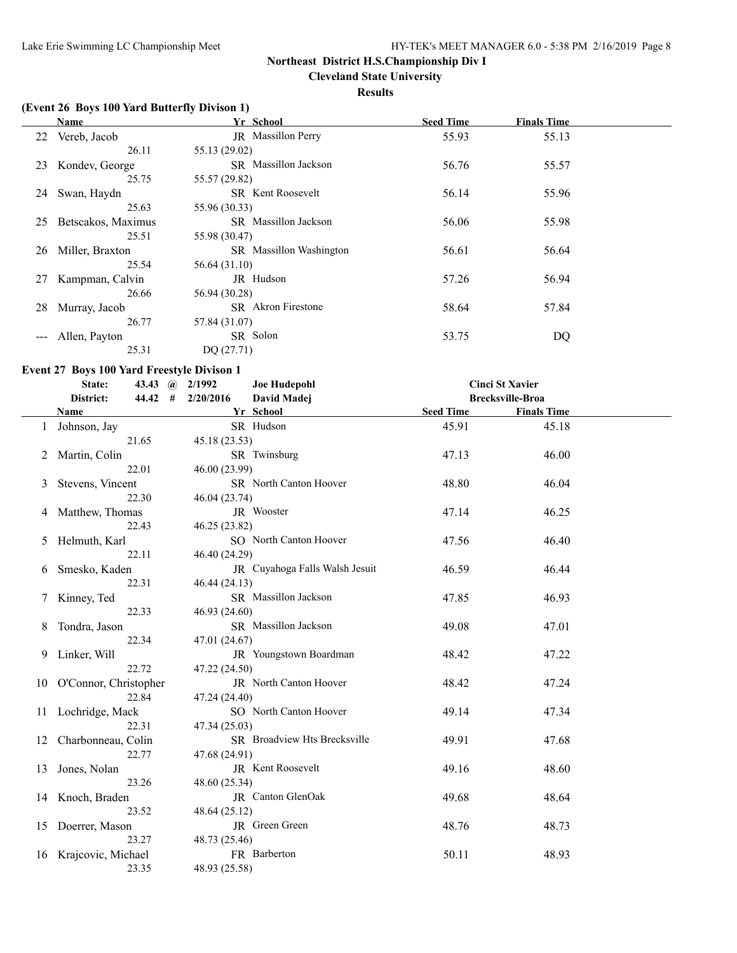**Cleveland State University**

### **Results**

# **(Event 26 Boys 100 Yard Butterfly Divison 1)**

|                     | Name               | Yr School                      | <b>Seed Time</b> | <b>Finals Time</b> |  |
|---------------------|--------------------|--------------------------------|------------------|--------------------|--|
|                     | 22 Vereb, Jacob    | JR Massillon Perry             | 55.93            | 55.13              |  |
|                     | 26.11              | 55.13 (29.02)                  |                  |                    |  |
| 23                  | Kondev, George     | <b>SR</b> Massillon Jackson    | 56.76            | 55.57              |  |
|                     | 25.75              | 55.57 (29.82)                  |                  |                    |  |
| 24                  | Swan, Haydn        | <b>SR</b> Kent Roosevelt       | 56.14            | 55.96              |  |
|                     | 25.63              | 55.96 (30.33)                  |                  |                    |  |
| 25                  | Betscakos, Maximus | <b>SR</b> Massillon Jackson    | 56.06            | 55.98              |  |
|                     | 25.51              | 55.98 (30.47)                  |                  |                    |  |
| 26                  | Miller, Braxton    | <b>SR</b> Massillon Washington | 56.61            | 56.64              |  |
|                     | 25.54              | 56.64 (31.10)                  |                  |                    |  |
| 27                  | Kampman, Calvin    | JR Hudson                      | 57.26            | 56.94              |  |
|                     | 26.66              | 56.94 (30.28)                  |                  |                    |  |
| 28                  | Murray, Jacob      | <b>SR</b> Akron Firestone      | 58.64            | 57.84              |  |
|                     | 26.77              | 57.84 (31.07)                  |                  |                    |  |
| $\qquad \qquad - -$ | Allen, Payton      | SR Solon                       | 53.75            | DQ                 |  |
|                     | 25.31              | DQ(27.71)                      |                  |                    |  |

# **Event 27 Boys 100 Yard Freestyle Divison 1**

|    | <b>Joe Hudepohl</b><br><b>Cinci St Xavier</b><br>State:<br>43.43 $\omega$<br>2/1992 |               |                                |                  |                         |  |  |
|----|-------------------------------------------------------------------------------------|---------------|--------------------------------|------------------|-------------------------|--|--|
|    | District:<br>44.42<br>#                                                             | 2/20/2016     | David Madej                    |                  | <b>Brecksville-Broa</b> |  |  |
|    | <b>Name</b>                                                                         |               | Yr School                      | <b>Seed Time</b> | <b>Finals Time</b>      |  |  |
|    | Johnson, Jay                                                                        |               | SR Hudson                      | 45.91            | 45.18                   |  |  |
|    | 21.65                                                                               | 45.18 (23.53) |                                |                  |                         |  |  |
|    | Martin, Colin                                                                       |               | SR Twinsburg                   | 47.13            | 46.00                   |  |  |
|    | 22.01                                                                               | 46.00 (23.99) |                                |                  |                         |  |  |
| 3  | Stevens, Vincent                                                                    |               | <b>SR</b> North Canton Hoover  | 48.80            | 46.04                   |  |  |
|    | 22.30                                                                               | 46.04 (23.74) |                                |                  |                         |  |  |
| 4  | Matthew, Thomas                                                                     |               | JR Wooster                     | 47.14            | 46.25                   |  |  |
|    | 22.43                                                                               | 46.25 (23.82) |                                |                  |                         |  |  |
| 5  | Helmuth, Karl                                                                       |               | SO North Canton Hoover         | 47.56            | 46.40                   |  |  |
|    | 22.11                                                                               | 46.40 (24.29) |                                |                  |                         |  |  |
| 6  | Smesko, Kaden                                                                       |               | JR Cuyahoga Falls Walsh Jesuit | 46.59            | 46.44                   |  |  |
|    | 22.31                                                                               | 46.44 (24.13) |                                |                  |                         |  |  |
|    | Kinney, Ted                                                                         |               | SR Massillon Jackson           | 47.85            | 46.93                   |  |  |
|    | 22.33                                                                               | 46.93 (24.60) |                                |                  |                         |  |  |
| 8  | Tondra, Jason                                                                       |               | SR Massillon Jackson           | 49.08            | 47.01                   |  |  |
|    | 22.34                                                                               | 47.01 (24.67) |                                |                  |                         |  |  |
| 9  | Linker, Will                                                                        |               | JR Youngstown Boardman         | 48.42            | 47.22                   |  |  |
|    | 22.72                                                                               | 47.22 (24.50) |                                |                  |                         |  |  |
| 10 | O'Connor, Christopher                                                               |               | JR North Canton Hoover         | 48.42            | 47.24                   |  |  |
|    | 22.84                                                                               | 47.24 (24.40) |                                |                  |                         |  |  |
| 11 | Lochridge, Mack                                                                     |               | SO North Canton Hoover         | 49.14            | 47.34                   |  |  |
|    | 22.31                                                                               | 47.34 (25.03) |                                |                  |                         |  |  |
| 12 | Charbonneau, Colin                                                                  |               | SR Broadview Hts Brecksville   | 49.91            | 47.68                   |  |  |
|    | 22.77                                                                               | 47.68 (24.91) |                                |                  |                         |  |  |
| 13 | Jones, Nolan                                                                        |               | JR Kent Roosevelt              | 49.16            | 48.60                   |  |  |
|    | 23.26                                                                               | 48.60 (25.34) |                                |                  |                         |  |  |
|    | 14 Knoch, Braden                                                                    |               | JR Canton GlenOak              | 49.68            | 48.64                   |  |  |
|    | 23.52                                                                               | 48.64 (25.12) |                                |                  |                         |  |  |
| 15 | Doerrer, Mason                                                                      |               | JR Green Green                 | 48.76            | 48.73                   |  |  |
|    | 23.27                                                                               | 48.73 (25.46) |                                |                  |                         |  |  |
| 16 | Krajcovic, Michael                                                                  |               | FR Barberton                   | 50.11            | 48.93                   |  |  |
|    | 23.35                                                                               | 48.93 (25.58) |                                |                  |                         |  |  |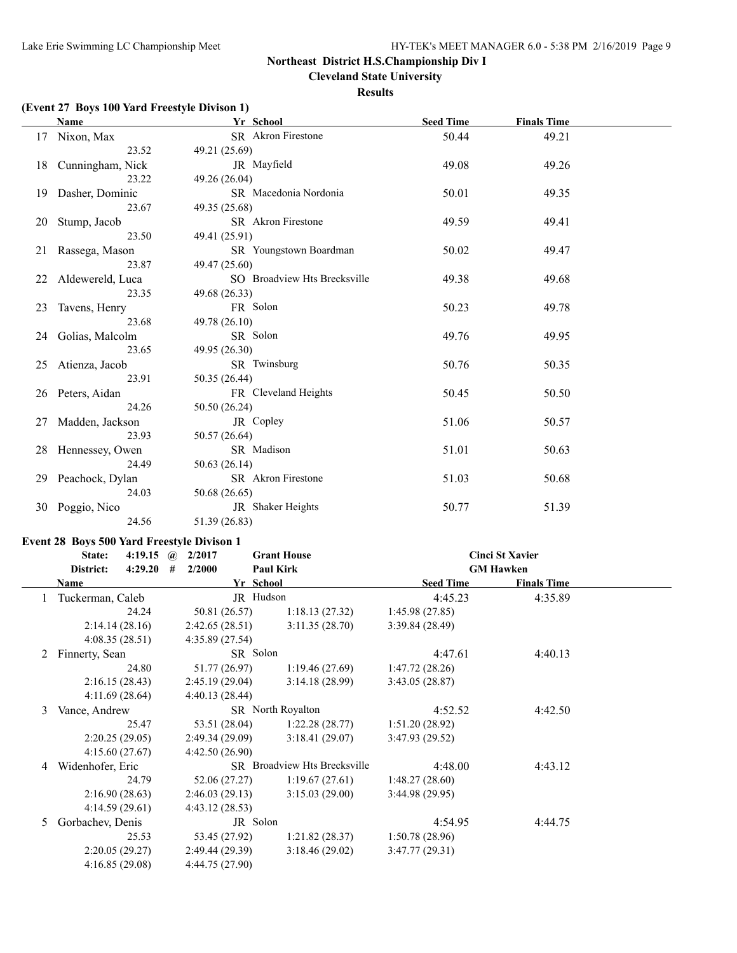**Cleveland State University**

#### **Results**

# **(Event 27 Boys 100 Yard Freestyle Divison 1)**

|    | <b>Name</b>         | Yr School                    | <b>Seed Time</b> | <b>Finals Time</b> |  |
|----|---------------------|------------------------------|------------------|--------------------|--|
|    | 17 Nixon, Max       | SR Akron Firestone           | 50.44            | 49.21              |  |
|    | 23.52               | 49.21 (25.69)                |                  |                    |  |
|    | 18 Cunningham, Nick | JR Mayfield                  | 49.08            | 49.26              |  |
|    | 23.22               | 49.26 (26.04)                |                  |                    |  |
|    | 19 Dasher, Dominic  | SR Macedonia Nordonia        | 50.01            | 49.35              |  |
|    | 23.67               | 49.35 (25.68)                |                  |                    |  |
|    | 20 Stump, Jacob     | SR Akron Firestone           | 49.59            | 49.41              |  |
|    | 23.50               | 49.41 (25.91)                |                  |                    |  |
|    | 21 Rassega, Mason   | SR Youngstown Boardman       | 50.02            | 49.47              |  |
|    | 23.87               | 49.47 (25.60)                |                  |                    |  |
|    | 22 Aldewereld, Luca | SO Broadview Hts Brecksville | 49.38            | 49.68              |  |
|    | 23.35               | 49.68 (26.33)                |                  |                    |  |
| 23 | Tavens, Henry       | FR Solon                     | 50.23            | 49.78              |  |
|    | 23.68               | 49.78 (26.10)                |                  |                    |  |
|    | 24 Golias, Malcolm  | SR Solon                     | 49.76            | 49.95              |  |
|    | 23.65               | 49.95 (26.30)                |                  |                    |  |
|    | 25 Atienza, Jacob   | SR Twinsburg                 | 50.76            | 50.35              |  |
|    | 23.91               | 50.35 (26.44)                |                  |                    |  |
|    | 26 Peters, Aidan    | FR Cleveland Heights         | 50.45            | 50.50              |  |
|    | 24.26               | 50.50 (26.24)                |                  |                    |  |
| 27 | Madden, Jackson     | JR Copley                    | 51.06            | 50.57              |  |
|    | 23.93               | 50.57 (26.64)                |                  |                    |  |
|    | 28 Hennessey, Owen  | SR Madison                   | 51.01            | 50.63              |  |
|    | 24.49               | 50.63(26.14)                 |                  |                    |  |
|    | 29 Peachock, Dylan  | SR Akron Firestone           | 51.03            | 50.68              |  |
|    | 24.03               | 50.68 (26.65)                |                  |                    |  |
| 30 | Poggio, Nico        | JR Shaker Heights            | 50.77            | 51.39              |  |
|    | 24.56               | 51.39 (26.83)                |                  |                    |  |

#### **Event 28 Boys 500 Yard Freestyle Divison 1**

|    | State:<br>4:19.15    | 2/2017<br>$\mathbf{a}$ | <b>Grant House</b>           | <b>Cinci St Xavier</b> |                    |  |
|----|----------------------|------------------------|------------------------------|------------------------|--------------------|--|
|    | District:<br>4:29.20 | 2/2000<br>#            | <b>Paul Kirk</b>             |                        | <b>GM Hawken</b>   |  |
|    | <b>Name</b>          | Yr School              |                              | <b>Seed Time</b>       | <b>Finals Time</b> |  |
|    | Tuckerman, Caleb     | JR Hudson              |                              | 4:45.23                | 4:35.89            |  |
|    | 24.24                | 50.81 (26.57)          | 1:18.13(27.32)               | 1:45.98(27.85)         |                    |  |
|    | 2:14.14(28.16)       | 2:42.65(28.51)         | 3:11.35(28.70)               | 3:39.84(28.49)         |                    |  |
|    | 4:08.35(28.51)       | 4:35.89(27.54)         |                              |                        |                    |  |
| 2  | Finnerty, Sean       | SR Solon               |                              | 4:47.61                | 4:40.13            |  |
|    | 24.80                | 51.77 (26.97)          | 1:19.46(27.69)               | 1:47.72(28.26)         |                    |  |
|    | 2:16.15(28.43)       | 2:45.19(29.04)         | 3:14.18(28.99)               | 3:43.05(28.87)         |                    |  |
|    | 4:11.69(28.64)       | 4:40.13(28.44)         |                              |                        |                    |  |
| 3  | Vance, Andrew        |                        | <b>SR</b> North Royalton     | 4:52.52                | 4:42.50            |  |
|    | 25.47                | 53.51 (28.04)          | 1:22.28(28.77)               | 1:51.20(28.92)         |                    |  |
|    | 2:20.25(29.05)       | 2:49.34(29.09)         | 3:18.41(29.07)               | 3:47.93(29.52)         |                    |  |
|    | 4:15.60(27.67)       | 4:42.50(26.90)         |                              |                        |                    |  |
| 4  | Widenhofer, Eric     |                        | SR Broadview Hts Brecksville | 4:48.00                | 4:43.12            |  |
|    | 24.79                | 52.06 (27.27)          | 1:19.67(27.61)               | 1:48.27(28.60)         |                    |  |
|    | 2:16.90(28.63)       | 2:46.03(29.13)         | 3:15.03(29.00)               | 3:44.98(29.95)         |                    |  |
|    | 4:14.59(29.61)       | 4:43.12(28.53)         |                              |                        |                    |  |
| 5. | Gorbachev, Denis     | JR Solon               |                              | 4:54.95                | 4:44.75            |  |
|    | 25.53                | 53.45 (27.92)          | 1:21.82(28.37)               | 1:50.78(28.96)         |                    |  |
|    | 2:20.05(29.27)       | 2:49.44(29.39)         | 3:18.46(29.02)               | 3:47.77(29.31)         |                    |  |
|    | 4:16.85(29.08)       | 4:44.75 (27.90)        |                              |                        |                    |  |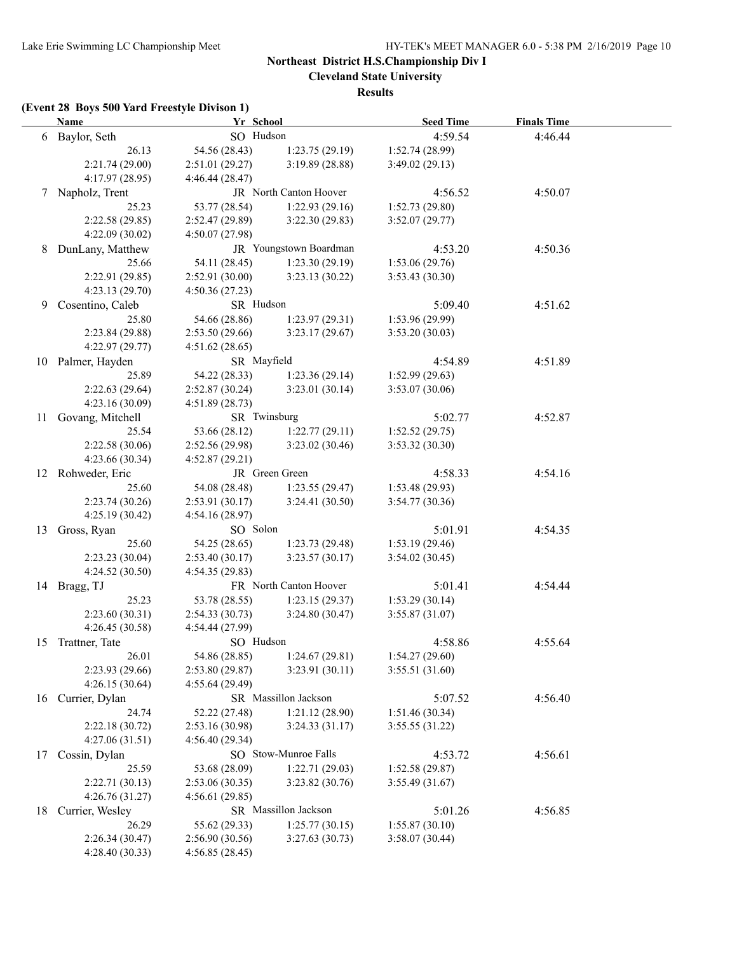**Cleveland State University**

**Results**

# **(Event 28 Boys 500 Yard Freestyle Divison 1)**

|    | <b>Name</b>       | Yr School       |                        | <b>Seed Time</b>          | <b>Finals Time</b> |  |
|----|-------------------|-----------------|------------------------|---------------------------|--------------------|--|
|    | 6 Baylor, Seth    | SO Hudson       |                        | 4:59.54                   | 4:46.44            |  |
|    | 26.13             | 54.56 (28.43)   | 1:23.75(29.19)         | 1:52.74(28.99)            |                    |  |
|    | 2:21.74(29.00)    | 2:51.01(29.27)  | 3:19.89(28.88)         | 3:49.02(29.13)            |                    |  |
|    | 4:17.97 (28.95)   | 4:46.44(28.47)  |                        |                           |                    |  |
|    | 7 Napholz, Trent  |                 | JR North Canton Hoover | 4:56.52                   | 4:50.07            |  |
|    | 25.23             | 53.77 (28.54)   | 1:22.93(29.16)         | 1:52.73(29.80)            |                    |  |
|    | 2:22.58(29.85)    | 2:52.47(29.89)  | 3:22.30(29.83)         | 3:52.07(29.77)            |                    |  |
|    | 4:22.09(30.02)    | 4:50.07(27.98)  |                        |                           |                    |  |
| 8  | DunLany, Matthew  |                 | JR Youngstown Boardman | 4:53.20                   | 4:50.36            |  |
|    | 25.66             | 54.11 (28.45)   | 1:23.30(29.19)         | 1:53.06(29.76)            |                    |  |
|    | 2:22.91 (29.85)   | 2:52.91(30.00)  | 3:23.13(30.22)         | 3:53.43(30.30)            |                    |  |
|    | 4:23.13 (29.70)   | 4:50.36(27.23)  |                        |                           |                    |  |
| 9  | Cosentino, Caleb  | SR Hudson       |                        | 5:09.40                   | 4:51.62            |  |
|    | 25.80             | 54.66 (28.86)   | 1:23.97(29.31)         | 1:53.96(29.99)            |                    |  |
|    | 2:23.84(29.88)    | 2:53.50(29.66)  | 3:23.17(29.67)         | 3:53.20(30.03)            |                    |  |
|    | 4:22.97 (29.77)   | 4:51.62(28.65)  |                        |                           |                    |  |
|    | 10 Palmer, Hayden |                 | SR Mayfield            |                           | 4:51.89            |  |
|    | 25.89             | 54.22 (28.33)   | 1:23.36(29.14)         | 4:54.89<br>1:52.99(29.63) |                    |  |
|    | 2:22.63(29.64)    | 2:52.87(30.24)  | 3:23.01(30.14)         | 3:53.07 (30.06)           |                    |  |
|    | 4:23.16 (30.09)   | 4:51.89(28.73)  |                        |                           |                    |  |
| 11 | Govang, Mitchell  | SR Twinsburg    |                        | 5:02.77                   | 4:52.87            |  |
|    | 25.54             | 53.66 (28.12)   | 1:22.77(29.11)         | 1:52.52(29.75)            |                    |  |
|    | 2:22.58(30.06)    | 2:52.56(29.98)  | 3:23.02(30.46)         | 3:53.32(30.30)            |                    |  |
|    | 4:23.66(30.34)    | 4:52.87(29.21)  |                        |                           |                    |  |
|    | 12 Rohweder, Eric |                 | JR Green Green         |                           | 4:54.16            |  |
|    | 25.60             | 54.08 (28.48)   | 1:23.55(29.47)         | 4:58.33<br>1:53.48(29.93) |                    |  |
|    | 2:23.74(30.26)    | 2:53.91(30.17)  | 3:24.41(30.50)         | 3:54.77 (30.36)           |                    |  |
|    | 4:25.19 (30.42)   | 4:54.16(28.97)  |                        |                           |                    |  |
|    | 13 Gross, Ryan    | SO Solon        |                        | 5:01.91                   | 4:54.35            |  |
|    | 25.60             | 54.25 (28.65)   | 1:23.73(29.48)         | 1:53.19(29.46)            |                    |  |
|    | 2:23.23(30.04)    | 2:53.40(30.17)  | 3:23.57(30.17)         | 3:54.02(30.45)            |                    |  |
|    | 4:24.52(30.50)    | 4:54.35(29.83)  |                        |                           |                    |  |
|    | 14 Bragg, TJ      |                 | FR North Canton Hoover | 5:01.41                   | 4:54.44            |  |
|    | 25.23             | 53.78 (28.55)   | 1:23.15(29.37)         | 1:53.29(30.14)            |                    |  |
|    | 2:23.60(30.31)    | 2:54.33(30.73)  | 3:24.80(30.47)         | 3:55.87 (31.07)           |                    |  |
|    | 4:26.45(30.58)    | 4:54.44 (27.99) |                        |                           |                    |  |
|    | 15 Trattner, Tate | SO Hudson       |                        | 4:58.86                   | 4:55.64            |  |
|    | 26.01             | 54.86 (28.85)   | 1:24.67(29.81)         | 1:54.27(29.60)            |                    |  |
|    | 2:23.93 (29.66)   | 2:53.80(29.87)  | 3:23.91(30.11)         | 3:55.51(31.60)            |                    |  |
|    | 4:26.15(30.64)    | 4:55.64(29.49)  |                        |                           |                    |  |
| 16 | Currier, Dylan    |                 | SR Massillon Jackson   | 5:07.52                   | 4:56.40            |  |
|    | 24.74             | 52.22 (27.48)   | 1:21.12(28.90)         | 1:51.46(30.34)            |                    |  |
|    | 2:22.18(30.72)    | 2:53.16 (30.98) | 3:24.33(31.17)         | 3:55.55(31.22)            |                    |  |
|    | 4:27.06 (31.51)   | 4:56.40(29.34)  |                        |                           |                    |  |
| 17 | Cossin, Dylan     |                 | SO Stow-Munroe Falls   | 4:53.72                   | 4:56.61            |  |
|    | 25.59             | 53.68 (28.09)   | 1:22.71(29.03)         | 1:52.58(29.87)            |                    |  |
|    | 2:22.71 (30.13)   | 2:53.06 (30.35) | 3:23.82(30.76)         | 3:55.49(31.67)            |                    |  |
|    | 4:26.76(31.27)    | 4:56.61(29.85)  |                        |                           |                    |  |
| 18 | Currier, Wesley   |                 | SR Massillon Jackson   | 5:01.26                   | 4:56.85            |  |
|    | 26.29             | 55.62 (29.33)   | 1:25.77(30.15)         | 1:55.87(30.10)            |                    |  |
|    | 2:26.34(30.47)    | 2:56.90 (30.56) | 3:27.63(30.73)         | 3:58.07 (30.44)           |                    |  |
|    | 4:28.40 (30.33)   | 4:56.85(28.45)  |                        |                           |                    |  |
|    |                   |                 |                        |                           |                    |  |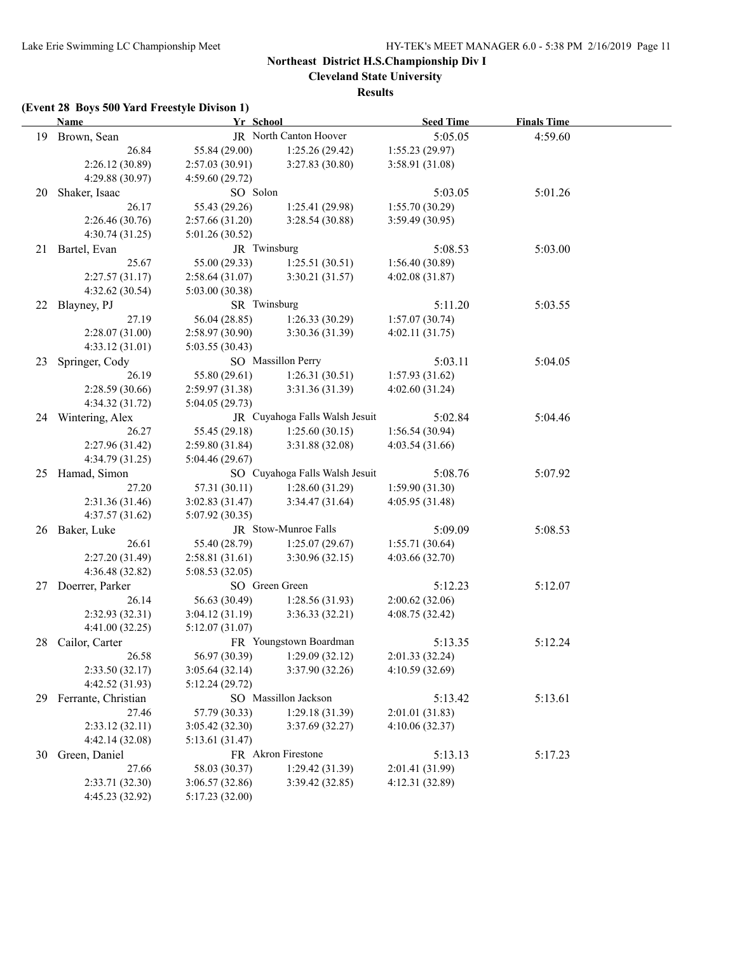**Cleveland State University**

**Results**

# **(Event 28 Boys 500 Yard Freestyle Divison 1)**

|    | <b>Name</b>            | Yr School       |                                | <b>Seed Time</b> | <b>Finals Time</b> |  |  |
|----|------------------------|-----------------|--------------------------------|------------------|--------------------|--|--|
|    | 19 Brown, Sean         |                 | JR North Canton Hoover         | 5:05.05          | 4:59.60            |  |  |
|    | 26.84                  | 55.84 (29.00)   | 1:25.26(29.42)                 | 1:55.23(29.97)   |                    |  |  |
|    | 2:26.12 (30.89)        | 2:57.03(30.91)  | 3:27.83 (30.80)                | 3:58.91(31.08)   |                    |  |  |
|    | 4:29.88 (30.97)        | 4:59.60(29.72)  |                                |                  |                    |  |  |
| 20 | Shaker, Isaac          | SO Solon        |                                | 5:03.05          | 5:01.26            |  |  |
|    | 26.17                  | 55.43 (29.26)   | 1:25.41(29.98)                 | 1:55.70(30.29)   |                    |  |  |
|    | 2:26.46(30.76)         | 2:57.66(31.20)  | 3:28.54(30.88)                 | 3:59.49 (30.95)  |                    |  |  |
|    | 4:30.74(31.25)         | 5:01.26 (30.52) |                                |                  |                    |  |  |
|    | 21 Bartel, Evan        | JR Twinsburg    |                                | 5:08.53          | 5:03.00            |  |  |
|    | 25.67                  | 55.00 (29.33)   | 1:25.51(30.51)                 | 1:56.40(30.89)   |                    |  |  |
|    | 2:27.57(31.17)         | 2:58.64(31.07)  | 3:30.21(31.57)                 | 4:02.08(31.87)   |                    |  |  |
|    | 4:32.62(30.54)         | 5:03.00(30.38)  |                                |                  |                    |  |  |
|    | 22 Blayney, PJ         | SR Twinsburg    |                                | 5:11.20          | 5:03.55            |  |  |
|    | 27.19                  | 56.04 (28.85)   | 1:26.33(30.29)                 | 1:57.07(30.74)   |                    |  |  |
|    | 2:28.07(31.00)         | 2:58.97(30.90)  | 3:30.36(31.39)                 | 4:02.11(31.75)   |                    |  |  |
|    | 4:33.12(31.01)         | 5:03.55(30.43)  |                                |                  |                    |  |  |
| 23 | Springer, Cody         |                 | SO Massillon Perry             | 5:03.11          | 5:04.05            |  |  |
|    | 26.19                  | 55.80 (29.61)   | 1:26.31(30.51)                 | 1:57.93(31.62)   |                    |  |  |
|    | 2:28.59(30.66)         | 2:59.97(31.38)  | 3:31.36(31.39)                 | 4:02.60 (31.24)  |                    |  |  |
|    | 4:34.32 (31.72)        | 5:04.05(29.73)  |                                |                  |                    |  |  |
|    | 24 Wintering, Alex     |                 | JR Cuyahoga Falls Walsh Jesuit | 5:02.84          | 5:04.46            |  |  |
|    | 26.27                  | 55.45 (29.18)   | 1:25.60(30.15)                 | 1:56.54(30.94)   |                    |  |  |
|    | 2:27.96(31.42)         | 2:59.80(31.84)  | 3:31.88(32.08)                 | 4:03.54 (31.66)  |                    |  |  |
|    | 4:34.79 (31.25)        | 5:04.46 (29.67) |                                |                  |                    |  |  |
|    | 25 Hamad, Simon        |                 | SO Cuyahoga Falls Walsh Jesuit | 5:08.76          | 5:07.92            |  |  |
|    | 27.20                  | 57.31 (30.11)   | 1:28.60(31.29)                 | 1:59.90(31.30)   |                    |  |  |
|    | 2:31.36(31.46)         | 3:02.83(31.47)  | 3:34.47(31.64)                 | 4:05.95 (31.48)  |                    |  |  |
|    | 4:37.57(31.62)         | 5:07.92(30.35)  |                                |                  |                    |  |  |
|    | 26 Baker, Luke         |                 | JR Stow-Munroe Falls           | 5:09.09          | 5:08.53            |  |  |
|    | 26.61                  | 55.40 (28.79)   | 1:25.07(29.67)                 | 1:55.71(30.64)   |                    |  |  |
|    | 2:27.20 (31.49)        | 2:58.81(31.61)  | 3:30.96(32.15)                 | 4:03.66(32.70)   |                    |  |  |
|    | 4:36.48 (32.82)        | 5:08.53(32.05)  |                                |                  |                    |  |  |
|    | 27 Doerrer, Parker     | SO Green Green  |                                | 5:12.23          | 5:12.07            |  |  |
|    | 26.14                  | 56.63 (30.49)   | 1:28.56(31.93)                 | 2:00.62(32.06)   |                    |  |  |
|    | 2:32.93(32.31)         | 3:04.12(31.19)  | 3:36.33(32.21)                 | 4:08.75 (32.42)  |                    |  |  |
|    | 4:41.00(32.25)         | 5:12.07(31.07)  |                                |                  |                    |  |  |
|    | 28 Cailor, Carter      |                 | FR Youngstown Boardman         | 5:13.35          | 5:12.24            |  |  |
|    | 26.58                  | 56.97 (30.39)   | 1:29.09(32.12)                 | 2:01.33(32.24)   |                    |  |  |
|    | 2:33.50(32.17)         | 3:05.64(32.14)  | 3:37.90 (32.26)                | 4:10.59(32.69)   |                    |  |  |
|    | 4:42.52 (31.93)        | 5:12.24(29.72)  |                                |                  |                    |  |  |
|    | 29 Ferrante, Christian |                 | SO Massillon Jackson           | 5:13.42          | 5:13.61            |  |  |
|    | 27.46                  | 57.79 (30.33)   | 1:29.18(31.39)                 | 2:01.01(31.83)   |                    |  |  |
|    | 2:33.12(32.11)         | 3:05.42(32.30)  | 3:37.69(32.27)                 | 4:10.06(32.37)   |                    |  |  |
|    | 4:42.14 (32.08)        | 5:13.61(31.47)  |                                |                  |                    |  |  |
| 30 | Green, Daniel          |                 | FR Akron Firestone             | 5:13.13          | 5:17.23            |  |  |
|    | 27.66                  | 58.03 (30.37)   | 1:29.42(31.39)                 | 2:01.41 (31.99)  |                    |  |  |
|    | 2:33.71 (32.30)        | 3:06.57 (32.86) | 3:39.42(32.85)                 | 4:12.31 (32.89)  |                    |  |  |
|    | 4:45.23 (32.92)        | 5:17.23 (32.00) |                                |                  |                    |  |  |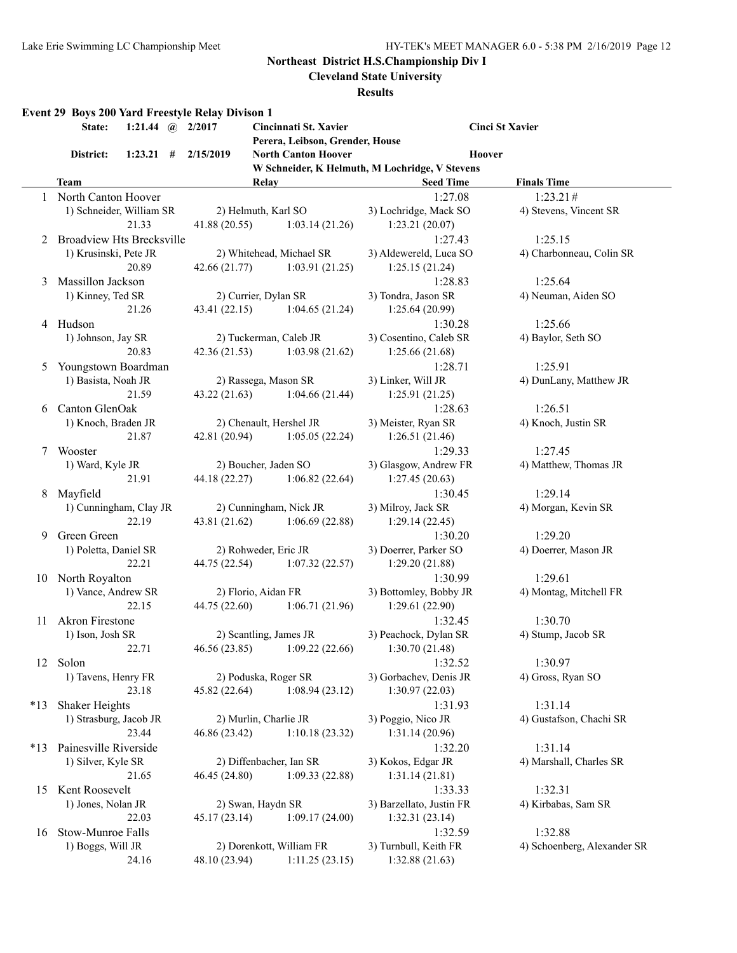**Cleveland State University**

**Results**

|       | Event 29 Boys 200 Yard Freestyle Relay Divison 1<br>State: | 1:21.44 (a) $2/2017$ |               | Cincinnati St. Xavier           |                                                | <b>Cinci St Xavier</b>      |
|-------|------------------------------------------------------------|----------------------|---------------|---------------------------------|------------------------------------------------|-----------------------------|
|       |                                                            |                      |               | Perera, Leibson, Grender, House | Hoover                                         |                             |
|       | District:                                                  | $1:23.21$ #          | 2/15/2019     | <b>North Canton Hoover</b>      | W Schneider, K Helmuth, M Lochridge, V Stevens |                             |
|       | <b>Team</b>                                                |                      |               | Relav                           | <b>Seed Time</b>                               | <b>Finals Time</b>          |
|       | 1 North Canton Hoover                                      |                      |               |                                 | 1:27.08                                        | 1:23.21#                    |
|       |                                                            |                      |               |                                 |                                                |                             |
|       | 1) Schneider, William SR                                   |                      |               | 2) Helmuth, Karl SO             | 3) Lochridge, Mack SO                          | 4) Stevens, Vincent SR      |
|       |                                                            | 21.33                | 41.88(20.55)  | 1:03.14(21.26)                  | 1:23.21(20.07)                                 |                             |
| 2     | <b>Broadview Hts Brecksville</b>                           |                      |               |                                 | 1:27.43                                        | 1:25.15                     |
|       | 1) Krusinski, Pete JR                                      |                      |               | 2) Whitehead, Michael SR        | 3) Aldewereld, Luca SO                         | 4) Charbonneau, Colin SR    |
|       |                                                            | 20.89                | 42.66 (21.77) | 1:03.91(21.25)                  | 1:25.15(21.24)                                 |                             |
| 3     | Massillon Jackson                                          |                      |               |                                 | 1:28.83                                        | 1:25.64                     |
|       | 1) Kinney, Ted SR                                          |                      |               | 2) Currier, Dylan SR            | 3) Tondra, Jason SR                            | 4) Neuman, Aiden SO         |
|       |                                                            | 21.26                | 43.41(22.15)  | 1:04.65(21.24)                  | 1:25.64(20.99)                                 |                             |
|       | 4 Hudson                                                   |                      |               |                                 | 1:30.28                                        | 1:25.66                     |
|       | 1) Johnson, Jay SR                                         |                      |               | 2) Tuckerman, Caleb JR          | 3) Cosentino, Caleb SR                         | 4) Baylor, Seth SO          |
|       |                                                            | 20.83                | 42.36(21.53)  | 1:03.98(21.62)                  | 1:25.66(21.68)                                 |                             |
| 5     | Youngstown Boardman                                        |                      |               |                                 | 1:28.71                                        | 1:25.91                     |
|       | 1) Basista, Noah JR                                        |                      |               | 2) Rassega, Mason SR            | 3) Linker, Will JR                             | 4) DunLany, Matthew JR      |
|       |                                                            | 21.59                | 43.22(21.63)  | 1:04.66(21.44)                  | 1:25.91(21.25)                                 |                             |
| 6     | Canton GlenOak                                             |                      |               |                                 | 1:28.63                                        | 1:26.51                     |
|       | 1) Knoch, Braden JR                                        |                      |               | 2) Chenault, Hershel JR         | 3) Meister, Ryan SR                            | 4) Knoch, Justin SR         |
|       |                                                            | 21.87                | 42.81 (20.94) | 1:05.05(22.24)                  | 1:26.51(21.46)                                 |                             |
| 7     | Wooster                                                    |                      |               |                                 | 1:29.33                                        | 1:27.45                     |
|       | 1) Ward, Kyle JR                                           |                      |               | 2) Boucher, Jaden SO            | 3) Glasgow, Andrew FR                          | 4) Matthew, Thomas JR       |
|       |                                                            | 21.91                | 44.18 (22.27) | 1:06.82(22.64)                  | 1:27.45(20.63)                                 |                             |
| 8     | Mayfield                                                   |                      |               |                                 | 1:30.45                                        | 1:29.14                     |
|       | 1) Cunningham, Clay JR                                     |                      |               | 2) Cunningham, Nick JR          | 3) Milroy, Jack SR                             | 4) Morgan, Kevin SR         |
|       |                                                            | 22.19                | 43.81 (21.62) | 1:06.69(22.88)                  | 1:29.14(22.45)                                 |                             |
| 9     | Green Green                                                |                      |               |                                 | 1:30.20                                        | 1:29.20                     |
|       | 1) Poletta, Daniel SR                                      |                      |               | 2) Rohweder, Eric JR            | 3) Doerrer, Parker SO                          | 4) Doerrer, Mason JR        |
|       |                                                            | 22.21                | 44.75 (22.54) | 1:07.32(22.57)                  | 1:29.20(21.88)                                 |                             |
| 10    | North Royalton                                             |                      |               |                                 | 1:30.99                                        | 1:29.61                     |
|       | 1) Vance, Andrew SR                                        |                      |               | 2) Florio, Aidan FR             | 3) Bottomley, Bobby JR                         | 4) Montag, Mitchell FR      |
|       |                                                            | 22.15                | 44.75 (22.60) | 1:06.71(21.96)                  | 1:29.61(22.90)                                 |                             |
| 11    | <b>Akron Firestone</b>                                     |                      |               |                                 | 1:32.45                                        | 1:30.70                     |
|       | 1) Ison, Josh SR                                           |                      |               | 2) Scantling, James JR          | 3) Peachock, Dylan SR                          | 4) Stump, Jacob SR          |
|       |                                                            | 22.71                | 46.56 (23.85) | 1:09.22(22.66)                  | 1:30.70 (21.48)                                |                             |
|       | 12 Solon                                                   |                      |               |                                 | 1:32.52                                        | 1:30.97                     |
|       | 1) Tavens, Henry FR                                        |                      |               | 2) Poduska, Roger SR            | 3) Gorbachev, Denis JR                         | 4) Gross, Ryan SO           |
|       |                                                            | 23.18                | 45.82 (22.64) | 1:08.94(23.12)                  | 1:30.97(22.03)                                 |                             |
| $*13$ | Shaker Heights                                             |                      |               |                                 | 1:31.93                                        | 1:31.14                     |
|       | 1) Strasburg, Jacob JR                                     |                      |               | 2) Murlin, Charlie JR           | 3) Poggio, Nico JR                             | 4) Gustafson, Chachi SR     |
|       |                                                            | 23.44                | 46.86 (23.42) | 1:10.18(23.32)                  | 1:31.14(20.96)                                 |                             |
|       |                                                            |                      |               |                                 |                                                |                             |
| $*13$ | Painesville Riverside<br>1) Silver, Kyle SR                |                      |               | 2) Diffenbacher, Ian SR         | 1:32.20                                        | 1:31.14                     |
|       |                                                            | 21.65                |               |                                 | 3) Kokos, Edgar JR                             | 4) Marshall, Charles SR     |
|       |                                                            |                      | 46.45 (24.80) | 1:09.33(22.88)                  | 1:31.14(21.81)                                 |                             |
| 15    | Kent Roosevelt                                             |                      |               |                                 | 1:33.33                                        | 1:32.31                     |
|       | 1) Jones, Nolan JR                                         |                      |               | 2) Swan, Haydn SR               | 3) Barzellato, Justin FR                       | 4) Kirbabas, Sam SR         |
|       |                                                            | 22.03                | 45.17(23.14)  | 1:09.17(24.00)                  | 1:32.31(23.14)                                 |                             |
| 16    | Stow-Munroe Falls                                          |                      |               |                                 | 1:32.59                                        | 1:32.88                     |
|       | 1) Boggs, Will JR                                          |                      |               | 2) Dorenkott, William FR        | 3) Turnbull, Keith FR                          | 4) Schoenberg, Alexander SR |
|       |                                                            | 24.16                | 48.10 (23.94) | 1:11.25(23.15)                  | 1:32.88(21.63)                                 |                             |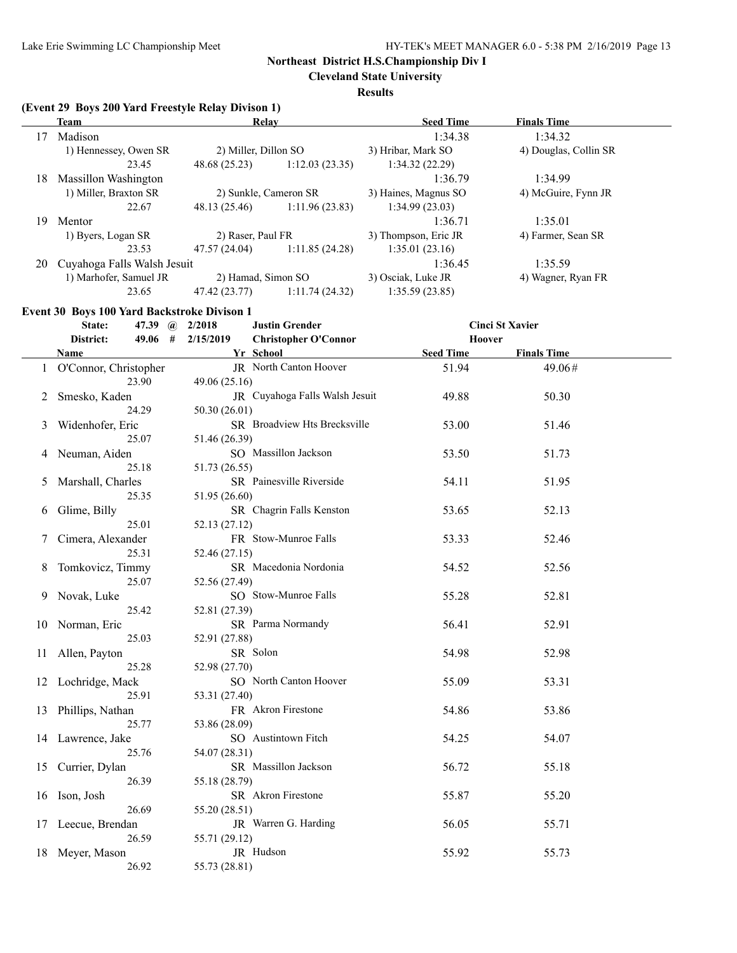**Cleveland State University**

### **Results**

# **(Event 29 Boys 200 Yard Freestyle Relay Divison 1)**

|    | Team                        | Relay                 |                | <b>Seed Time</b>     | <b>Finals Time</b>    |  |
|----|-----------------------------|-----------------------|----------------|----------------------|-----------------------|--|
| 17 | Madison                     |                       |                | 1:34.38              | 1:34.32               |  |
|    | 1) Hennessey, Owen SR       | 2) Miller, Dillon SO  |                | 3) Hribar, Mark SO   | 4) Douglas, Collin SR |  |
|    | 23.45                       | 48.68 (25.23)         | 1:12.03(23.35) | 1:34.32(22.29)       |                       |  |
| 18 | Massillon Washington        |                       |                | 1:36.79              | 1:34.99               |  |
|    | 1) Miller, Braxton SR       | 2) Sunkle, Cameron SR |                | 3) Haines, Magnus SO | 4) McGuire, Fynn JR   |  |
|    | 22.67                       | 48.13 (25.46)         | 1:11.96(23.83) | 1:34.99(23.03)       |                       |  |
| 19 | Mentor                      |                       |                | 1:36.71              | 1:35.01               |  |
|    | 1) Byers, Logan SR          | 2) Raser, Paul FR     |                | 3) Thompson, Eric JR | 4) Farmer, Sean SR    |  |
|    | 23.53                       | 47.57 (24.04)         | 1:11.85(24.28) | 1:35.01(23.16)       |                       |  |
| 20 | Cuyahoga Falls Walsh Jesuit |                       |                | 1:36.45              | 1:35.59               |  |
|    | 1) Marhofer, Samuel JR      | 2) Hamad, Simon SO    |                | 3) Osciak, Luke JR   | 4) Wagner, Ryan FR    |  |
|    | 23.65                       | 47.42 (23.77)         | 1:11.74(24.32) | 1:35.59(23.85)       |                       |  |

# **Event 30 Boys 100 Yard Backstroke Divison 1**

| 2/15/2019<br>District:<br>49.06 #<br><b>Christopher O'Connor</b><br>Hoover<br>Yr School<br><b>Seed Time</b><br><b>Finals Time</b><br>Name<br>JR North Canton Hoover<br>O'Connor, Christopher<br>51.94<br>49.06#<br>$\mathbf{1}$<br>23.90<br>49.06(25.16)<br>JR Cuyahoga Falls Walsh Jesuit<br>49.88<br>50.30<br>Smesko, Kaden<br>2<br>24.29<br>50.30 (26.01)<br>SR Broadview Hts Brecksville<br>53.00<br>Widenhofer, Eric<br>51.46<br>3<br>25.07<br>51.46 (26.39)<br>SO Massillon Jackson<br>Neuman, Aiden<br>53.50<br>51.73<br>4<br>25.18<br>51.73 (26.55)<br>SR Painesville Riverside<br>54.11<br>51.95<br>Marshall, Charles<br>5 |  |
|-------------------------------------------------------------------------------------------------------------------------------------------------------------------------------------------------------------------------------------------------------------------------------------------------------------------------------------------------------------------------------------------------------------------------------------------------------------------------------------------------------------------------------------------------------------------------------------------------------------------------------------|--|
|                                                                                                                                                                                                                                                                                                                                                                                                                                                                                                                                                                                                                                     |  |
|                                                                                                                                                                                                                                                                                                                                                                                                                                                                                                                                                                                                                                     |  |
|                                                                                                                                                                                                                                                                                                                                                                                                                                                                                                                                                                                                                                     |  |
|                                                                                                                                                                                                                                                                                                                                                                                                                                                                                                                                                                                                                                     |  |
|                                                                                                                                                                                                                                                                                                                                                                                                                                                                                                                                                                                                                                     |  |
|                                                                                                                                                                                                                                                                                                                                                                                                                                                                                                                                                                                                                                     |  |
|                                                                                                                                                                                                                                                                                                                                                                                                                                                                                                                                                                                                                                     |  |
|                                                                                                                                                                                                                                                                                                                                                                                                                                                                                                                                                                                                                                     |  |
|                                                                                                                                                                                                                                                                                                                                                                                                                                                                                                                                                                                                                                     |  |
|                                                                                                                                                                                                                                                                                                                                                                                                                                                                                                                                                                                                                                     |  |
|                                                                                                                                                                                                                                                                                                                                                                                                                                                                                                                                                                                                                                     |  |
| 25.35<br>51.95 (26.60)                                                                                                                                                                                                                                                                                                                                                                                                                                                                                                                                                                                                              |  |
| SR Chagrin Falls Kenston<br>53.65<br>52.13<br>Glime, Billy<br>6                                                                                                                                                                                                                                                                                                                                                                                                                                                                                                                                                                     |  |
| 25.01<br>52.13 (27.12)                                                                                                                                                                                                                                                                                                                                                                                                                                                                                                                                                                                                              |  |
| FR Stow-Munroe Falls<br>Cimera, Alexander<br>53.33<br>52.46<br>7                                                                                                                                                                                                                                                                                                                                                                                                                                                                                                                                                                    |  |
| 25.31<br>52.46 (27.15)                                                                                                                                                                                                                                                                                                                                                                                                                                                                                                                                                                                                              |  |
| SR Macedonia Nordonia<br>Tomkovicz, Timmy<br>54.52<br>52.56<br>8                                                                                                                                                                                                                                                                                                                                                                                                                                                                                                                                                                    |  |
| 25.07<br>52.56 (27.49)                                                                                                                                                                                                                                                                                                                                                                                                                                                                                                                                                                                                              |  |
| SO Stow-Munroe Falls<br>55.28<br>52.81<br>Novak, Luke<br>9.                                                                                                                                                                                                                                                                                                                                                                                                                                                                                                                                                                         |  |
| 25.42<br>52.81 (27.39)                                                                                                                                                                                                                                                                                                                                                                                                                                                                                                                                                                                                              |  |
| SR Parma Normandy<br>56.41<br>52.91<br>Norman, Eric<br>10                                                                                                                                                                                                                                                                                                                                                                                                                                                                                                                                                                           |  |
| 25.03<br>52.91 (27.88)                                                                                                                                                                                                                                                                                                                                                                                                                                                                                                                                                                                                              |  |
| SR Solon<br>Allen, Payton<br>54.98<br>52.98<br>11                                                                                                                                                                                                                                                                                                                                                                                                                                                                                                                                                                                   |  |
| 25.28<br>52.98 (27.70)                                                                                                                                                                                                                                                                                                                                                                                                                                                                                                                                                                                                              |  |
| SO North Canton Hoover<br>53.31<br>12 Lochridge, Mack<br>55.09                                                                                                                                                                                                                                                                                                                                                                                                                                                                                                                                                                      |  |
| 25.91<br>53.31 (27.40)<br>FR Akron Firestone                                                                                                                                                                                                                                                                                                                                                                                                                                                                                                                                                                                        |  |
| 54.86<br>53.86<br>Phillips, Nathan<br>13<br>25.77                                                                                                                                                                                                                                                                                                                                                                                                                                                                                                                                                                                   |  |
| 53.86 (28.09)<br>SO Austintown Fitch<br>54.07                                                                                                                                                                                                                                                                                                                                                                                                                                                                                                                                                                                       |  |
| 54.25<br>Lawrence, Jake<br>14<br>25.76<br>54.07 (28.31)                                                                                                                                                                                                                                                                                                                                                                                                                                                                                                                                                                             |  |
| SR Massillon Jackson<br>56.72<br>Currier, Dylan<br>55.18<br>15                                                                                                                                                                                                                                                                                                                                                                                                                                                                                                                                                                      |  |
| 55.18 (28.79)<br>26.39                                                                                                                                                                                                                                                                                                                                                                                                                                                                                                                                                                                                              |  |
| SR Akron Firestone<br>55.87<br>55.20<br>16 Ison, Josh                                                                                                                                                                                                                                                                                                                                                                                                                                                                                                                                                                               |  |
| 26.69<br>55.20 (28.51)                                                                                                                                                                                                                                                                                                                                                                                                                                                                                                                                                                                                              |  |
| JR Warren G. Harding<br>56.05<br>55.71<br>17 Leecue, Brendan                                                                                                                                                                                                                                                                                                                                                                                                                                                                                                                                                                        |  |
| 26.59<br>55.71 (29.12)                                                                                                                                                                                                                                                                                                                                                                                                                                                                                                                                                                                                              |  |
| JR Hudson<br>Meyer, Mason<br>55.73<br>55.92<br>18                                                                                                                                                                                                                                                                                                                                                                                                                                                                                                                                                                                   |  |
| 26.92<br>55.73 (28.81)                                                                                                                                                                                                                                                                                                                                                                                                                                                                                                                                                                                                              |  |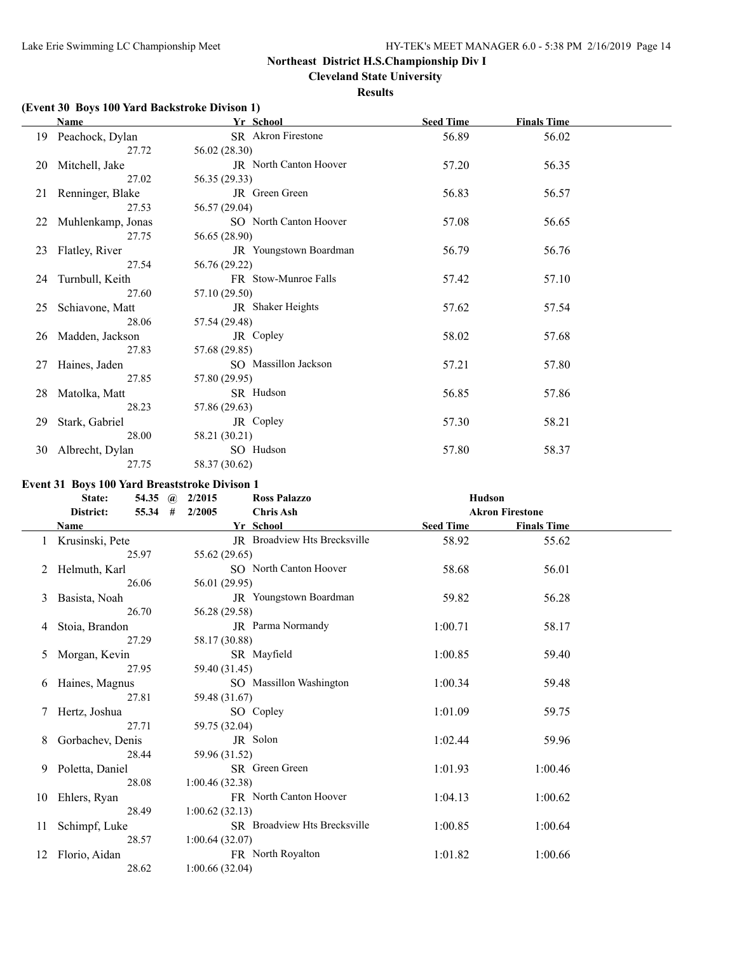$\overline{a}$ 

# **Northeast District H.S.Championship Div I**

**Cleveland State University**

### **Results**

# **(Event 30 Boys 100 Yard Backstroke Divison 1)**

|    | Name               | Yr School              | <b>Seed Time</b> | <b>Finals Time</b> |  |
|----|--------------------|------------------------|------------------|--------------------|--|
|    | 19 Peachock, Dylan | SR Akron Firestone     | 56.89            | 56.02              |  |
|    | 27.72              | 56.02 (28.30)          |                  |                    |  |
| 20 | Mitchell, Jake     | JR North Canton Hoover | 57.20            | 56.35              |  |
|    | 27.02              | 56.35 (29.33)          |                  |                    |  |
| 21 | Renninger, Blake   | JR Green Green         | 56.83            | 56.57              |  |
|    | 27.53              | 56.57 (29.04)          |                  |                    |  |
| 22 | Muhlenkamp, Jonas  | SO North Canton Hoover | 57.08            | 56.65              |  |
|    | 27.75              | 56.65 (28.90)          |                  |                    |  |
| 23 | Flatley, River     | JR Youngstown Boardman | 56.79            | 56.76              |  |
|    | 27.54              | 56.76 (29.22)          |                  |                    |  |
| 24 | Turnbull, Keith    | FR Stow-Munroe Falls   | 57.42            | 57.10              |  |
|    | 27.60              | 57.10 (29.50)          |                  |                    |  |
| 25 | Schiavone, Matt    | JR Shaker Heights      | 57.62            | 57.54              |  |
|    | 28.06              | 57.54 (29.48)          |                  |                    |  |
| 26 | Madden, Jackson    | JR Copley              | 58.02            | 57.68              |  |
|    | 27.83              | 57.68 (29.85)          |                  |                    |  |
| 27 | Haines, Jaden      | SO Massillon Jackson   | 57.21            | 57.80              |  |
|    | 27.85              | 57.80 (29.95)          |                  |                    |  |
| 28 | Matolka, Matt      | SR Hudson              | 56.85            | 57.86              |  |
|    | 28.23              | 57.86 (29.63)          |                  |                    |  |
| 29 | Stark, Gabriel     | JR Copley              | 57.30            | 58.21              |  |
|    | 28.00              | 58.21 (30.21)          |                  |                    |  |
| 30 | Albrecht, Dylan    | SO Hudson              | 57.80            | 58.37              |  |
|    | 27.75              | 58.37 (30.62)          |                  |                    |  |

### **Event 31 Boys 100 Yard Breaststroke Divison 1**

|    | 54.35<br>State:      | 2/2015<br><b>Ross Palazzo</b><br>$\mathbf{a}$ | <b>Hudson</b>    |                        |
|----|----------------------|-----------------------------------------------|------------------|------------------------|
|    | District:<br>55.34 # | <b>Chris Ash</b><br>2/2005                    |                  | <b>Akron Firestone</b> |
|    | Name                 | Yr_School                                     | <b>Seed Time</b> | <b>Finals Time</b>     |
|    | 1 Krusinski, Pete    | <b>JR</b> Broadview Hts Brecksville           | 58.92            | 55.62                  |
|    | 25.97                | 55.62 (29.65)                                 |                  |                        |
| 2  | Helmuth, Karl        | SO North Canton Hoover                        | 58.68            | 56.01                  |
|    | 26.06                | 56.01 (29.95)                                 |                  |                        |
| 3  | Basista, Noah        | JR Youngstown Boardman                        | 59.82            | 56.28                  |
|    | 26.70                | 56.28 (29.58)                                 |                  |                        |
| 4  | Stoia, Brandon       | JR Parma Normandy                             | 1:00.71          | 58.17                  |
|    | 27.29                | 58.17 (30.88)                                 |                  |                        |
| 5  | Morgan, Kevin        | SR Mayfield                                   | 1:00.85          | 59.40                  |
|    | 27.95                | 59.40 (31.45)                                 |                  |                        |
| 6  | Haines, Magnus       | SO Massillon Washington                       | 1:00.34          | 59.48                  |
|    | 27.81                | 59.48 (31.67)                                 |                  |                        |
|    | Hertz, Joshua        | SO Copley                                     | 1:01.09          | 59.75                  |
|    | 27.71                | 59.75 (32.04)                                 |                  |                        |
| 8  | Gorbachev, Denis     | JR Solon                                      | 1:02.44          | 59.96                  |
|    | 28.44                | 59.96 (31.52)                                 |                  |                        |
| 9. | Poletta, Daniel      | SR Green Green                                | 1:01.93          | 1:00.46                |
|    | 28.08                | 1:00.46(32.38)                                |                  |                        |
| 10 | Ehlers, Ryan         | FR North Canton Hoover                        | 1:04.13          | 1:00.62                |
|    | 28.49                | 1:00.62(32.13)                                |                  |                        |
| 11 | Schimpf, Luke        | SR Broadview Hts Brecksville                  | 1:00.85          | 1:00.64                |
|    | 28.57                | 1:00.64(32.07)                                |                  |                        |
| 12 | Florio, Aidan        | FR North Royalton                             | 1:01.82          | 1:00.66                |
|    | 28.62                | 1:00.66(32.04)                                |                  |                        |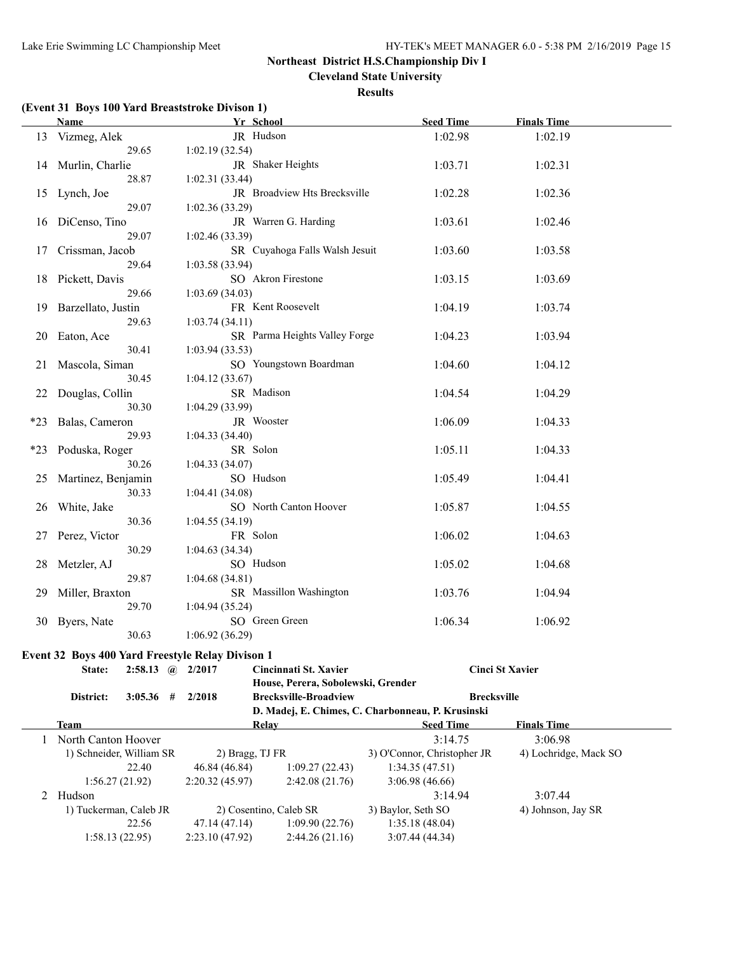**Cleveland State University**

### **Results**

# **(Event 31 Boys 100 Yard Breaststroke Divison 1)**

|       | <b>Name</b>              |                        |  |                                                  | Yr School                                         |                    | <b>Seed Time</b>            | <b>Finals Time</b>     |  |
|-------|--------------------------|------------------------|--|--------------------------------------------------|---------------------------------------------------|--------------------|-----------------------------|------------------------|--|
|       | 13 Vizmeg, Alek          |                        |  |                                                  | JR Hudson                                         |                    | 1:02.98                     | 1:02.19                |  |
|       |                          | 29.65                  |  | 1:02.19(32.54)                                   |                                                   |                    |                             |                        |  |
|       | 14 Murlin, Charlie       |                        |  |                                                  | JR Shaker Heights                                 |                    | 1:03.71                     | 1:02.31                |  |
|       |                          | 28.87                  |  | 1:02.31(33.44)                                   |                                                   |                    |                             |                        |  |
|       | 15 Lynch, Joe            |                        |  |                                                  | JR Broadview Hts Brecksville                      |                    | 1:02.28                     | 1:02.36                |  |
|       |                          | 29.07                  |  | 1:02.36(33.29)                                   |                                                   |                    |                             |                        |  |
|       | 16 DiCenso, Tino         |                        |  |                                                  | JR Warren G. Harding                              |                    | 1:03.61                     | 1:02.46                |  |
|       |                          | 29.07                  |  | 1:02.46(33.39)                                   |                                                   |                    |                             |                        |  |
|       |                          |                        |  |                                                  | SR Cuyahoga Falls Walsh Jesuit                    |                    |                             |                        |  |
|       | 17 Crissman, Jacob       |                        |  |                                                  |                                                   |                    | 1:03.60                     | 1:03.58                |  |
|       |                          | 29.64                  |  | 1:03.58(33.94)                                   |                                                   |                    |                             |                        |  |
|       | 18 Pickett, Davis        |                        |  |                                                  | SO Akron Firestone                                |                    | 1:03.15                     | 1:03.69                |  |
|       |                          | 29.66                  |  | 1:03.69(34.03)                                   |                                                   |                    |                             |                        |  |
|       | 19 Barzellato, Justin    |                        |  |                                                  | FR Kent Roosevelt                                 |                    | 1:04.19                     | 1:03.74                |  |
|       |                          | 29.63                  |  | 1:03.74(34.11)                                   |                                                   |                    |                             |                        |  |
| 20    | Eaton, Ace               |                        |  |                                                  | SR Parma Heights Valley Forge                     |                    | 1:04.23                     | 1:03.94                |  |
|       |                          | 30.41                  |  | 1:03.94(33.53)                                   |                                                   |                    |                             |                        |  |
| 21    | Mascola, Siman           |                        |  |                                                  | SO Youngstown Boardman                            |                    | 1:04.60                     | 1:04.12                |  |
|       |                          | 30.45                  |  | 1:04.12(33.67)                                   |                                                   |                    |                             |                        |  |
| 22    | Douglas, Collin          |                        |  |                                                  | SR Madison                                        |                    | 1:04.54                     | 1:04.29                |  |
|       |                          | 30.30                  |  | 1:04.29(33.99)                                   |                                                   |                    |                             |                        |  |
| $*23$ | Balas, Cameron           |                        |  |                                                  | JR Wooster                                        |                    | 1:06.09                     | 1:04.33                |  |
|       |                          | 29.93                  |  | 1:04.33(34.40)                                   |                                                   |                    |                             |                        |  |
| $*23$ | Poduska, Roger           |                        |  |                                                  | SR Solon                                          |                    | 1:05.11                     | 1:04.33                |  |
| 30.26 |                          | 1:04.33(34.07)         |  |                                                  |                                                   |                    |                             |                        |  |
| 25    | Martinez, Benjamin       |                        |  |                                                  | SO Hudson                                         |                    | 1:05.49                     | 1:04.41                |  |
|       |                          | 30.33                  |  | 1:04.41(34.08)                                   |                                                   |                    |                             |                        |  |
|       |                          |                        |  |                                                  | SO North Canton Hoover                            |                    |                             |                        |  |
| 26    | White, Jake              | 30.36                  |  |                                                  |                                                   |                    | 1:05.87                     | 1:04.55                |  |
|       |                          |                        |  | 1:04.55(34.19)                                   |                                                   |                    |                             |                        |  |
|       | 27 Perez, Victor         |                        |  |                                                  | FR Solon                                          |                    | 1:06.02                     | 1:04.63                |  |
|       |                          | 30.29                  |  | 1:04.63(34.34)                                   |                                                   |                    |                             |                        |  |
| 28    | Metzler, AJ              |                        |  |                                                  | SO Hudson                                         |                    | 1:05.02                     | 1:04.68                |  |
|       |                          | 29.87                  |  | 1:04.68(34.81)                                   |                                                   |                    |                             |                        |  |
| 29    | Miller, Braxton          |                        |  |                                                  | SR Massillon Washington                           |                    | 1:03.76                     | 1:04.94                |  |
|       |                          | 29.70                  |  | 1:04.94(35.24)                                   |                                                   |                    |                             |                        |  |
|       | 30 Byers, Nate           |                        |  |                                                  | SO Green Green                                    |                    | 1:06.34                     | 1:06.92                |  |
|       |                          | 30.63                  |  | 1:06.92(36.29)                                   |                                                   |                    |                             |                        |  |
|       |                          |                        |  | Event 32 Boys 400 Yard Freestyle Relay Divison 1 |                                                   |                    |                             |                        |  |
|       | State:                   | $2:58.13$ (a) $2/2017$ |  |                                                  | Cincinnati St. Xavier                             |                    |                             | <b>Cinci St Xavier</b> |  |
|       |                          |                        |  |                                                  | House, Perera, Sobolewski, Grender                |                    |                             |                        |  |
|       | District:                | $3:05.36$ #            |  | 2/2018                                           | <b>Brecksville-Broadview</b>                      |                    | <b>Brecksville</b>          |                        |  |
|       |                          |                        |  |                                                  | D. Madej, E. Chimes, C. Charbonneau, P. Krusinski |                    |                             |                        |  |
|       | <b>Team</b>              |                        |  |                                                  | <b>Relay</b>                                      |                    | <b>Seed Time</b>            | <b>Finals Time</b>     |  |
|       | North Canton Hoover      |                        |  |                                                  |                                                   |                    | 3:14.75                     | 3:06.98                |  |
|       |                          |                        |  |                                                  |                                                   |                    |                             |                        |  |
|       | 1) Schneider, William SR |                        |  |                                                  | 2) Bragg, TJ FR                                   |                    | 3) O'Connor, Christopher JR | 4) Lochridge, Mack SO  |  |
|       |                          | 22.40                  |  | 46.84 (46.84)                                    | 1:09.27(22.43)                                    |                    | 1:34.35(47.51)              |                        |  |
|       | 1:56.27(21.92)           |                        |  | 2:20.32(45.97)                                   | 2:42.08(21.76)                                    |                    | 3:06.98(46.66)              |                        |  |
| 2     | Hudson                   |                        |  |                                                  |                                                   |                    | 3:14.94                     | 3:07.44                |  |
|       | 1) Tuckerman, Caleb JR   |                        |  |                                                  | 2) Cosentino, Caleb SR                            | 3) Baylor, Seth SO |                             | 4) Johnson, Jay SR     |  |
|       |                          | 22.56                  |  | 47.14 (47.14)                                    | 1:09.90(22.76)                                    |                    | 1:35.18(48.04)              |                        |  |
|       | 1:58.13(22.95)           |                        |  | 2:23.10 (47.92)                                  | 2:44.26(21.16)                                    |                    | 3:07.44 (44.34)             |                        |  |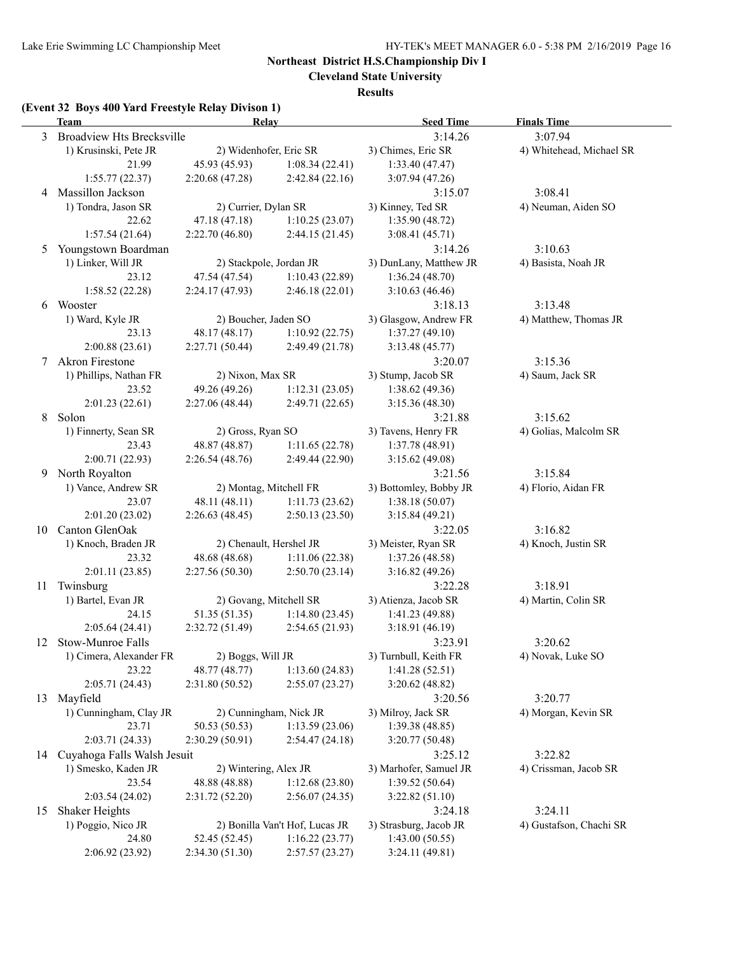$\overline{a}$ 

# **Northeast District H.S.Championship Div I**

**Cleveland State University**

**Results**

# **(Event 32 Boys 400 Yard Freestyle Relay Divison 1)**

|    | <b>Team</b>                 | cht 52 Doys 400 Taru Preestyle Kelay Divison 17<br><b>Seed Time</b><br><b>Finals Time</b><br>Relay |                                  |                                  |                          |  |
|----|-----------------------------|----------------------------------------------------------------------------------------------------|----------------------------------|----------------------------------|--------------------------|--|
|    | 3 Broadview Hts Brecksville |                                                                                                    |                                  | 3:14.26                          | 3:07.94                  |  |
|    | 1) Krusinski, Pete JR       | 2) Widenhofer, Eric SR                                                                             |                                  | 3) Chimes, Eric SR               | 4) Whitehead, Michael SR |  |
|    | 21.99                       | 45.93 (45.93)                                                                                      | 1:08.34(22.41)                   | 1:33.40(47.47)                   |                          |  |
|    | 1:55.77(22.37)              | 2:20.68(47.28)                                                                                     | 2:42.84(22.16)                   | 3:07.94(47.26)                   |                          |  |
|    | 4 Massillon Jackson         |                                                                                                    |                                  | 3:15.07                          | 3:08.41                  |  |
|    | 1) Tondra, Jason SR         | 2) Currier, Dylan SR                                                                               |                                  | 3) Kinney, Ted SR                | 4) Neuman, Aiden SO      |  |
|    | 22.62                       | 47.18 (47.18)                                                                                      | 1:10.25(23.07)                   | 1:35.90(48.72)                   |                          |  |
|    | 1:57.54(21.64)              | 2:22.70 (46.80)                                                                                    | 2:44.15(21.45)                   | 3:08.41(45.71)                   |                          |  |
| 5  | Youngstown Boardman         |                                                                                                    |                                  | 3:14.26                          | 3:10.63                  |  |
|    | 1) Linker, Will JR          |                                                                                                    | 2) Stackpole, Jordan JR          | 3) DunLany, Matthew JR           | 4) Basista, Noah JR      |  |
|    | 23.12                       | 47.54 (47.54)                                                                                      | 1:10.43(22.89)                   | 1:36.24(48.70)                   |                          |  |
|    | 1:58.52(22.28)              | 2:24.17(47.93)                                                                                     | 2:46.18(22.01)                   | 3:10.63(46.46)                   |                          |  |
|    | 6 Wooster                   |                                                                                                    |                                  | 3:18.13                          | 3:13.48                  |  |
|    | 1) Ward, Kyle JR            | 2) Boucher, Jaden SO                                                                               |                                  | 3) Glasgow, Andrew FR            | 4) Matthew, Thomas JR    |  |
|    | 23.13                       | 48.17 (48.17)                                                                                      | 1:10.92(22.75)                   | 1:37.27(49.10)                   |                          |  |
|    | 2:00.88(23.61)              | 2:27.71 (50.44)                                                                                    | 2:49.49 (21.78)                  | 3:13.48(45.77)                   |                          |  |
| 7  | <b>Akron Firestone</b>      |                                                                                                    |                                  | 3:20.07                          | 3:15.36                  |  |
|    | 1) Phillips, Nathan FR      | 2) Nixon, Max SR                                                                                   |                                  | 3) Stump, Jacob SR               | 4) Saum, Jack SR         |  |
|    | 23.52                       | 49.26 (49.26)                                                                                      | 1:12.31(23.05)                   | 1:38.62(49.36)                   |                          |  |
|    | 2:01.23(22.61)              | 2:27.06 (48.44)                                                                                    | 2:49.71 (22.65)                  | 3:15.36(48.30)                   |                          |  |
| 8  | Solon                       |                                                                                                    |                                  | 3:21.88                          | 3:15.62                  |  |
|    | 1) Finnerty, Sean SR        | 2) Gross, Ryan SO                                                                                  |                                  | 3) Tavens, Henry FR              | 4) Golias, Malcolm SR    |  |
|    | 23.43                       | 48.87 (48.87)                                                                                      | 1:11.65(22.78)                   | 1:37.78(48.91)                   |                          |  |
|    | 2:00.71(22.93)              | 2:26.54(48.76)                                                                                     | 2:49.44 (22.90)                  | 3:15.62(49.08)                   |                          |  |
| 9  | North Royalton              |                                                                                                    |                                  | 3:21.56                          | 3:15.84                  |  |
|    | 1) Vance, Andrew SR         | 2) Montag, Mitchell FR                                                                             |                                  | 3) Bottomley, Bobby JR           | 4) Florio, Aidan FR      |  |
|    | 23.07                       | 48.11 (48.11)                                                                                      | 1:11.73(23.62)                   | 1:38.18(50.07)                   |                          |  |
|    | 2:01.20(23.02)              | 2:26.63(48.45)                                                                                     | 2:50.13(23.50)                   | 3:15.84(49.21)                   |                          |  |
| 10 | Canton GlenOak              |                                                                                                    |                                  | 3:22.05                          | 3:16.82                  |  |
|    | 1) Knoch, Braden JR         |                                                                                                    | 2) Chenault, Hershel JR          | 3) Meister, Ryan SR              | 4) Knoch, Justin SR      |  |
|    | 23.32                       | 48.68 (48.68)                                                                                      | 1:11.06(22.38)                   | 1:37.26(48.58)                   |                          |  |
|    | 2:01.11 (23.85)             | 2:27.56(50.30)                                                                                     | 2:50.70(23.14)                   | 3:16.82(49.26)                   |                          |  |
| 11 | Twinsburg                   |                                                                                                    |                                  | 3:22.28                          | 3:18.91                  |  |
|    | 1) Bartel, Evan JR          |                                                                                                    | 2) Govang, Mitchell SR           | 3) Atienza, Jacob SR             | 4) Martin, Colin SR      |  |
|    | 24.15                       | 51.35 (51.35)                                                                                      | 1:14.80(23.45)                   | 1:41.23(49.88)                   |                          |  |
|    | 2:05.64 (24.41)             | 2:32.72 (51.49)                                                                                    | 2:54.65(21.93)                   | 3:18.91(46.19)                   |                          |  |
| 12 | Stow-Munroe Falls           |                                                                                                    |                                  | 3:23.91                          | 3:20.62                  |  |
|    | 1) Cimera, Alexander FR     | 2) Boggs, Will JR                                                                                  |                                  | 3) Turnbull, Keith FR            | 4) Novak, Luke SO        |  |
|    | 23.22                       | 48.77 (48.77)                                                                                      | 1:13.60(24.83)                   | 1:41.28(52.51)                   |                          |  |
|    | 2:05.71 (24.43)             | 2:31.80 (50.52)                                                                                    | 2:55.07(23.27)                   | 3:20.62(48.82)                   |                          |  |
| 13 | Mayfield                    |                                                                                                    |                                  | 3:20.56                          | 3:20.77                  |  |
|    | 1) Cunningham, Clay JR      |                                                                                                    | 2) Cunningham, Nick JR           | 3) Milroy, Jack SR               | 4) Morgan, Kevin SR      |  |
|    | 23.71                       | 50.53 (50.53)                                                                                      | 1:13.59(23.06)                   | 1:39.38(48.85)                   |                          |  |
|    | 2:03.71 (24.33)             | 2:30.29(50.91)                                                                                     | 2:54.47(24.18)                   | 3:20.77(50.48)                   |                          |  |
| 14 | Cuyahoga Falls Walsh Jesuit |                                                                                                    |                                  | 3:25.12                          | 3:22.82                  |  |
|    | 1) Smesko, Kaden JR         | 2) Wintering, Alex JR                                                                              |                                  | 3) Marhofer, Samuel JR           | 4) Crissman, Jacob SR    |  |
|    | 23.54                       | 48.88 (48.88)                                                                                      | 1:12.68(23.80)                   | 1:39.52(50.64)                   |                          |  |
|    | 2:03.54(24.02)              | 2:31.72 (52.20)                                                                                    | 2:56.07(24.35)                   | 3:22.82(51.10)                   |                          |  |
| 15 | Shaker Heights              |                                                                                                    |                                  | 3:24.18                          | 3:24.11                  |  |
|    | 1) Poggio, Nico JR          |                                                                                                    | 2) Bonilla Van't Hof, Lucas JR   | 3) Strasburg, Jacob JR           | 4) Gustafson, Chachi SR  |  |
|    | 24.80<br>2:06.92 (23.92)    | 52.45 (52.45)<br>2:34.30(51.30)                                                                    | 1:16.22(23.77)<br>2:57.57(23.27) | 1:43.00(50.55)<br>3:24.11(49.81) |                          |  |
|    |                             |                                                                                                    |                                  |                                  |                          |  |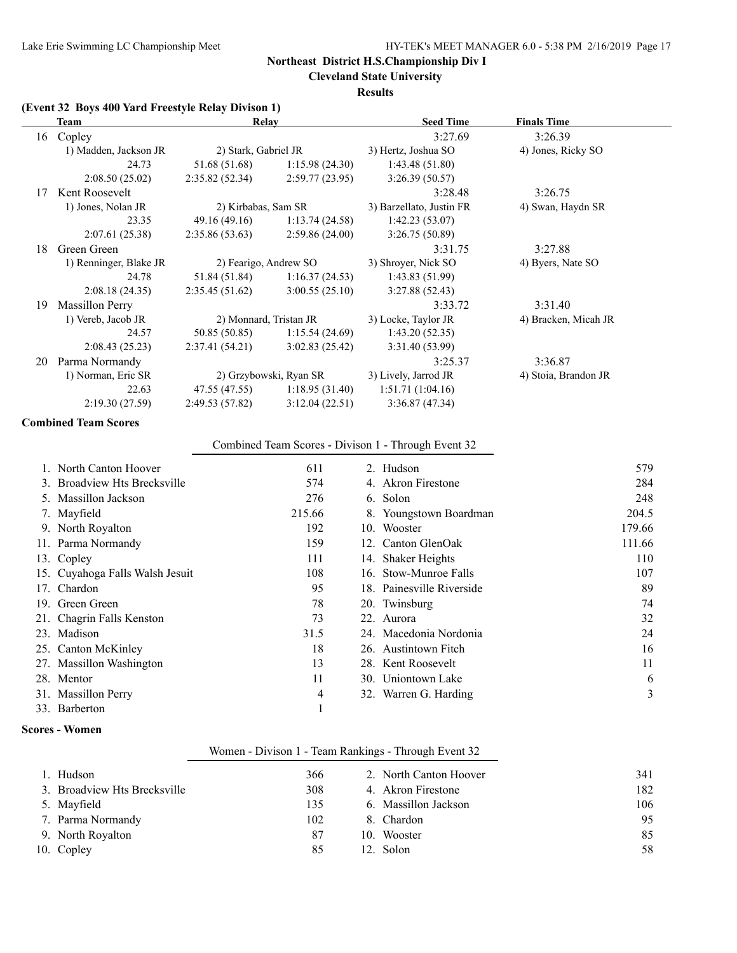**Cleveland State University**

#### **Results**

# **(Event 32 Boys 400 Yard Freestyle Relay Divison 1)**

|    | Team                   | Relay                  |                        | <b>Seed Time</b>         | <b>Finals Time</b>   |  |
|----|------------------------|------------------------|------------------------|--------------------------|----------------------|--|
| 16 | Copley                 |                        |                        | 3:27.69                  | 3:26.39              |  |
|    | 1) Madden, Jackson JR  | 2) Stark, Gabriel JR   |                        | 3) Hertz, Joshua SO      | 4) Jones, Ricky SO   |  |
|    | 24.73                  | 51.68 (51.68)          | 1:15.98(24.30)         | 1:43.48(51.80)           |                      |  |
|    | 2:08.50(25.02)         | 2:35.82(52.34)         | 2:59.77(23.95)         | 3:26.39(50.57)           |                      |  |
| 17 | Kent Roosevelt         |                        |                        | 3:28.48                  | 3:26.75              |  |
|    | 1) Jones, Nolan JR     | 2) Kirbabas, Sam SR    |                        | 3) Barzellato, Justin FR | 4) Swan, Haydn SR    |  |
|    | 23.35                  | 49.16 (49.16)          | 1:13.74(24.58)         | 1:42.23(53.07)           |                      |  |
|    | 2:07.61(25.38)         | 2:35.86(53.63)         | 2:59.86(24.00)         | 3:26.75(50.89)           |                      |  |
| 18 | Green Green            |                        |                        | 3:31.75                  | 3:27.88              |  |
|    | 1) Renninger, Blake JR | 2) Fearigo, Andrew SO  |                        | 3) Shroyer, Nick SO      | 4) Byers, Nate SO    |  |
|    | 24.78                  | 51.84 (51.84)          | 1:16.37(24.53)         | 1:43.83 (51.99)          |                      |  |
|    | 2:08.18(24.35)         | 2:35.45(51.62)         | 3:00.55(25.10)         | 3:27.88(52.43)           |                      |  |
| 19 | <b>Massillon Perry</b> |                        |                        | 3:33.72                  | 3:31.40              |  |
|    | 1) Vereb, Jacob JR     | 2) Monnard, Tristan JR |                        | 3) Locke, Taylor JR      | 4) Bracken, Micah JR |  |
|    | 24.57                  | 50.85 (50.85)          | 1:15.54(24.69)         | 1:43.20(52.35)           |                      |  |
|    | 2:08.43(25.23)         | 2:37.41(54.21)         | 3:02.83(25.42)         | 3:31.40 (53.99)          |                      |  |
| 20 | Parma Normandy         |                        |                        | 3:25.37                  | 3:36.87              |  |
|    | 1) Norman, Eric SR     |                        | 2) Grzybowski, Ryan SR | 3) Lively, Jarrod JR     | 4) Stoia, Brandon JR |  |
|    | 22.63                  | 47.55 (47.55)          | 1:18.95(31.40)         | 1:51.71(1:04.16)         |                      |  |
|    | 2:19.30(27.59)         | 2:49.53(57.82)         | 3:12.04(22.51)         | 3:36.87(47.34)           |                      |  |
|    |                        |                        |                        |                          |                      |  |

#### **Combined Team Scores**

# Combined Team Scores - Divison 1 - Through Event 32

| 1. North Canton Hoover          | 611    | 2. Hudson                 | 579    |
|---------------------------------|--------|---------------------------|--------|
| 3. Broadview Hts Brecksville    | 574    | 4. Akron Firestone        | 284    |
| 5. Massillon Jackson            | 276    | 6. Solon                  | 248    |
| 7. Mayfield                     | 215.66 | 8. Youngstown Boardman    | 204.5  |
| 9. North Royalton               | 192    | 10. Wooster               | 179.66 |
| 11. Parma Normandy              | 159    | 12. Canton GlenOak        | 111.66 |
| 13. Copley                      | 111    | 14. Shaker Heights        | 110    |
| 15. Cuyahoga Falls Walsh Jesuit | 108    | 16. Stow-Munroe Falls     | 107    |
| 17. Chardon                     | 95     | 18. Painesville Riverside | 89     |
| 19. Green Green                 | 78     | 20. Twinsburg             | 74     |
| 21. Chagrin Falls Kenston       | 73     | 22. Aurora                | 32     |
| 23. Madison                     | 31.5   | 24. Macedonia Nordonia    | 24     |
| 25. Canton McKinley             | 18     | 26. Austintown Fitch      | 16     |
| 27. Massillon Washington        | 13     | 28. Kent Roosevelt        | 11     |
| 28. Mentor                      | 11     | 30. Uniontown Lake        | 6      |
| 31. Massillon Perry             | 4      | 32. Warren G. Harding     | 3      |
| 33. Barberton                   |        |                           |        |

### **Scores - Women**

# Women - Divison 1 - Team Rankings - Through Event 32

| 1. Hudson                    | 366 | 2. North Canton Hoover | 341 |
|------------------------------|-----|------------------------|-----|
| 3. Broadview Hts Brecksville | 308 | 4. Akron Firestone     | 182 |
| 5. Mayfield                  | 135 | 6. Massillon Jackson   | 106 |
| 7. Parma Normandy            | 102 | 8. Chardon             | 95  |
| 9. North Royalton            | 87  | 10. Wooster            | 85  |
| 10. Copley                   | 85  | 12. Solon              | 58  |
|                              |     |                        |     |